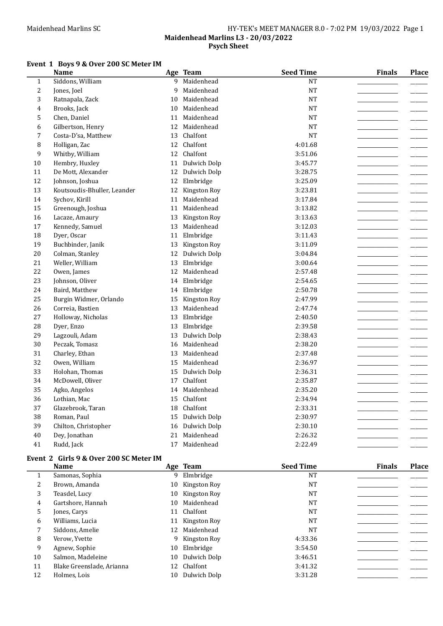## Maidenhead Marlins SC Mathematic Mathematic Meeting HY-TEK's MEET MANAGER 8.0 - 7:02 PM 19/03/2022 Page 1

### Maidenhead Marlins L3 - 20/03/2022 Psych Sheet

## Event 1 Boys 9 & Over 200 SC Meter IM

|                | <b>Name</b>                 |    | Age Team        | <b>Seed Time</b> | <b>Finals</b> | <b>Place</b> |
|----------------|-----------------------------|----|-----------------|------------------|---------------|--------------|
| $\mathbf{1}$   | Siddons, William            | 9  | Maidenhead      | NT               |               |              |
| $\overline{c}$ | Jones, Joel                 | 9  | Maidenhead      | NT               |               |              |
| 3              | Ratnapala, Zack             | 10 | Maidenhead      | NT               |               |              |
| 4              | Brooks, Jack                | 10 | Maidenhead      | NT               |               |              |
| 5              | Chen, Daniel                | 11 | Maidenhead      | <b>NT</b>        |               |              |
| 6              | Gilbertson, Henry           | 12 | Maidenhead      | <b>NT</b>        |               |              |
| 7              | Costa-D'sa, Matthew         | 13 | Chalfont        | <b>NT</b>        |               |              |
| 8              | Holligan, Zac               | 12 | Chalfont        | 4:01.68          |               |              |
| 9              | Whitby, William             |    | 12 Chalfont     | 3:51.06          |               |              |
| $10\,$         | Hembry, Huxley              |    | 11 Dulwich Dolp | 3:45.77          |               |              |
| 11             | De Mott, Alexander          | 12 | Dulwich Dolp    | 3:28.75          |               |              |
| 12             | Johnson, Joshua             | 12 | Elmbridge       | 3:25.09          |               |              |
| 13             | Koutsoudis-Bhuller, Leander | 12 | Kingston Roy    | 3:23.81          |               |              |
| 14             | Sychov, Kirill              | 11 | Maidenhead      | 3:17.84          |               |              |
| 15             | Greenough, Joshua           |    | 11 Maidenhead   | 3:13.82          |               |              |
| 16             | Lacaze, Amaury              | 13 | Kingston Roy    | 3:13.63          |               |              |
| 17             | Kennedy, Samuel             | 13 | Maidenhead      | 3:12.03          |               |              |
| 18             | Dyer, Oscar                 | 11 | Elmbridge       | 3:11.43          |               |              |
| 19             | Buchbinder, Janik           | 13 | Kingston Roy    | 3:11.09          |               |              |
| 20             | Colman, Stanley             | 12 | Dulwich Dolp    | 3:04.84          |               |              |
| 21             | Weller, William             | 13 | Elmbridge       | 3:00.64          |               |              |
| 22             | Owen, James                 | 12 | Maidenhead      | 2:57.48          |               |              |
| 23             | Johnson, Oliver             |    | 14 Elmbridge    | 2:54.65          |               |              |
| 24             | Baird, Matthew              | 14 | Elmbridge       | 2:50.78          |               |              |
| 25             | Burgin Widmer, Orlando      | 15 | Kingston Roy    | 2:47.99          |               |              |
| 26             | Correia, Bastien            | 13 | Maidenhead      | 2:47.74          |               |              |
| 27             | Holloway, Nicholas          | 13 | Elmbridge       | 2:40.50          |               |              |
| 28             | Dyer, Enzo                  | 13 | Elmbridge       | 2:39.58          |               |              |
| 29             | Lagzouli, Adam              | 13 | Dulwich Dolp    | 2:38.43          |               |              |
| 30             | Peczak, Tomasz              | 16 | Maidenhead      | 2:38.20          |               |              |
| 31             | Charley, Ethan              | 13 | Maidenhead      | 2:37.48          |               |              |
| 32             | Owen, William               | 15 | Maidenhead      | 2:36.97          |               |              |
| 33             | Holohan, Thomas             | 15 | Dulwich Dolp    | 2:36.31          |               |              |
| 34             | McDowell, Oliver            | 17 | Chalfont        | 2:35.87          |               |              |
| 35             | Agko, Angelos               | 14 | Maidenhead      | 2:35.20          |               |              |
| 36             | Lothian, Mac                | 15 | Chalfont        | 2:34.94          |               |              |
| 37             | Glazebrook, Taran           | 18 | Chalfont        | 2:33.31          |               |              |
| 38             | Roman, Paul                 | 15 | Dulwich Dolp    | 2:30.97          |               |              |
| 39             | Chilton, Christopher        | 16 | Dulwich Dolp    | 2:30.10          |               |              |
| 40             | Dey, Jonathan               | 21 | Maidenhead      | 2:26.32          |               |              |
| 41             | Rudd, Jack                  |    | 17 Maidenhead   | 2:22.49          |               |              |
|                |                             |    |                 |                  |               |              |

# Event 2 Girls 9 & Over 200 SC Meter IM

|    | <b>Name</b>               |     | Age Team        | <b>Seed Time</b> | <b>Finals</b> | <b>Place</b> |
|----|---------------------------|-----|-----------------|------------------|---------------|--------------|
|    | Samonas, Sophia           |     | 9 Elmbridge     | NT               |               |              |
| 2  | Brown, Amanda             |     | 10 Kingston Roy | NT               |               |              |
| 3  | Teasdel, Lucy             |     | 10 Kingston Roy | <b>NT</b>        |               |              |
| 4  | Gartshore, Hannah         | 10  | Maidenhead      | <b>NT</b>        |               |              |
| 5  | Jones, Carys              | 11  | Chalfont        | <b>NT</b>        |               |              |
| 6  | Williams, Lucia           |     | 11 Kingston Roy | <b>NT</b>        |               |              |
|    | Siddons, Amelie           | 12. | Maidenhead      | <b>NT</b>        |               |              |
| 8  | Verow, Yvette             |     | 9 Kingston Roy  | 4:33.36          |               |              |
| 9  | Agnew, Sophie             | 10  | Elmbridge       | 3:54.50          |               |              |
| 10 | Salmon, Madeleine         |     | 10 Dulwich Dolp | 3:46.51          |               |              |
| 11 | Blake Greenslade, Arianna |     | 12 Chalfont     | 3:41.32          |               |              |
| 12 | Holmes, Lois              | 10  | Dulwich Dolp    | 3:31.28          |               |              |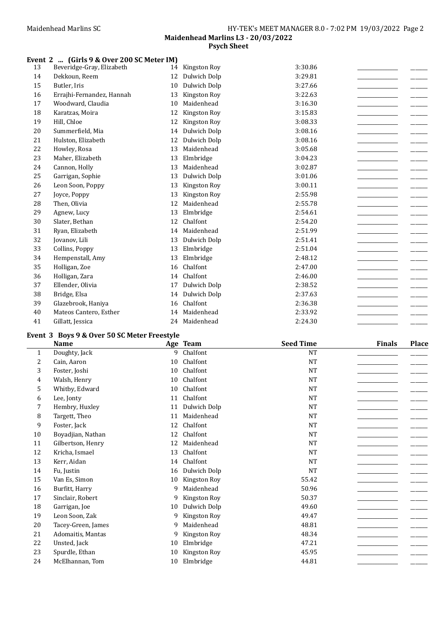## Event 2 ... (Girls 9 & Over 200 SC Meter IM)

| 13 | Beveridge-Gray, Elizabeth | 14 | Kingston Roy | 3:30.86 |
|----|---------------------------|----|--------------|---------|
| 14 | Dekkoun, Reem             | 12 | Dulwich Dolp | 3:29.81 |
| 15 | Butler, Iris              | 10 | Dulwich Dolp | 3:27.66 |
| 16 | Errajhi-Fernandez, Hannah | 13 | Kingston Roy | 3:22.63 |
| 17 | Woodward, Claudia         | 10 | Maidenhead   | 3:16.30 |
| 18 | Karatzas, Moira           | 12 | Kingston Roy | 3:15.83 |
| 19 | Hill, Chloe               | 12 | Kingston Roy | 3:08.33 |
| 20 | Summerfield, Mia          | 14 | Dulwich Dolp | 3:08.16 |
| 21 | Hulston, Elizabeth        | 12 | Dulwich Dolp | 3:08.16 |
| 22 | Howley, Rosa              | 13 | Maidenhead   | 3:05.68 |
| 23 | Maher, Elizabeth          | 13 | Elmbridge    | 3:04.23 |
| 24 | Cannon, Holly             | 13 | Maidenhead   | 3:02.87 |
| 25 | Garrigan, Sophie          | 13 | Dulwich Dolp | 3:01.06 |
| 26 | Leon Soon, Poppy          | 13 | Kingston Roy | 3:00.11 |
| 27 | Joyce, Poppy              | 13 | Kingston Roy | 2:55.98 |
| 28 | Then, Olivia              | 12 | Maidenhead   | 2:55.78 |
| 29 | Agnew, Lucy               | 13 | Elmbridge    | 2:54.61 |
| 30 | Slater, Bethan            | 12 | Chalfont     | 2:54.20 |
| 31 | Ryan, Elizabeth           | 14 | Maidenhead   | 2:51.99 |
| 32 | Jovanov, Lili             | 13 | Dulwich Dolp | 2:51.41 |
| 33 | Collins, Poppy            | 13 | Elmbridge    | 2:51.04 |
| 34 | Hempenstall, Amy          | 13 | Elmbridge    | 2:48.12 |
| 35 | Holligan, Zoe             | 16 | Chalfont     | 2:47.00 |
| 36 | Holligan, Zara            | 14 | Chalfont     | 2:46.00 |
| 37 | Ellender, Olivia          | 17 | Dulwich Dolp | 2:38.52 |
| 38 | Bridge, Elsa              | 14 | Dulwich Dolp | 2:37.63 |
| 39 | Glazebrook, Haniya        | 16 | Chalfont     | 2:36.38 |
| 40 | Mateos Cantero, Esther    | 14 | Maidenhead   | 2:33.92 |
| 41 | Gillatt, Jessica          | 24 | Maidenhead   | 2:24.30 |

## Event 3 Boys 9 & Over 50 SC Meter Freestyle

|              | <b>Name</b>        |    | Age Team     | <b>Seed Time</b> | <b>Finals</b> | <b>Place</b> |
|--------------|--------------------|----|--------------|------------------|---------------|--------------|
| $\mathbf{1}$ | Doughty, Jack      | 9  | Chalfont     | <b>NT</b>        |               |              |
| 2            | Cain, Aaron        | 10 | Chalfont     | $\rm{NT}$        |               |              |
| 3            | Foster, Joshi      | 10 | Chalfont     | <b>NT</b>        |               |              |
| 4            | Walsh, Henry       | 10 | Chalfont     | NT               |               |              |
| 5            | Whitby, Edward     | 10 | Chalfont     | <b>NT</b>        |               |              |
| 6            | Lee, Jonty         | 11 | Chalfont     | <b>NT</b>        |               |              |
| 7            | Hembry, Huxley     | 11 | Dulwich Dolp | <b>NT</b>        |               |              |
| 8            | Targett, Theo      | 11 | Maidenhead   | NT               |               |              |
| 9            | Foster, Jack       | 12 | Chalfont     | NT               |               |              |
| 10           | Boyadjian, Nathan  | 12 | Chalfont     | <b>NT</b>        |               |              |
| 11           | Gilbertson, Henry  | 12 | Maidenhead   | NT               |               |              |
| 12           | Kricha, Ismael     | 13 | Chalfont     | <b>NT</b>        |               |              |
| 13           | Kerr, Aidan        | 14 | Chalfont     | <b>NT</b>        |               |              |
| 14           | Fu, Justin         | 16 | Dulwich Dolp | <b>NT</b>        |               |              |
| 15           | Van Es, Simon      | 10 | Kingston Roy | 55.42            |               |              |
| 16           | Burfitt, Harry     | 9  | Maidenhead   | 50.96            |               |              |
| 17           | Sinclair, Robert   | 9  | Kingston Roy | 50.37            |               |              |
| 18           | Garrigan, Joe      | 10 | Dulwich Dolp | 49.60            |               |              |
| 19           | Leon Soon, Zak     | 9  | Kingston Roy | 49.47            |               |              |
| 20           | Tacey-Green, James | 9  | Maidenhead   | 48.81            |               |              |
| 21           | Adomaitis, Mantas  | 9  | Kingston Roy | 48.34            |               |              |
| 22           | Unsted, Jack       | 10 | Elmbridge    | 47.21            |               |              |
| 23           | Spurdle, Ethan     | 10 | Kingston Roy | 45.95            |               |              |
| 24           | McElhannan, Tom    | 10 | Elmbridge    | 44.81            |               |              |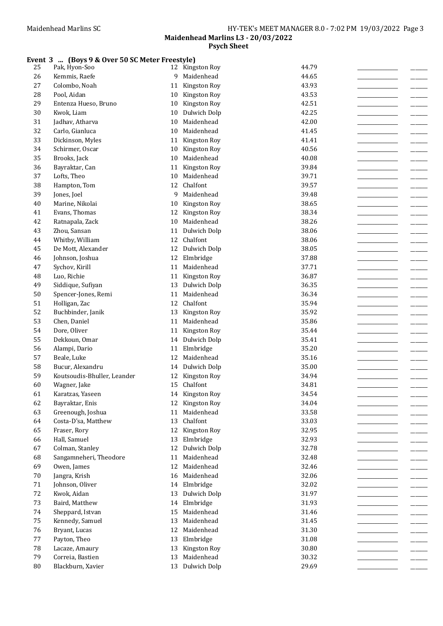## Event 3 ... (Boys 9 & Over 50 SC Meter Freestyle)

| 25     | Pak, Hyon-Soo               |    | 12 Kingston Roy          | 44.79 |  |
|--------|-----------------------------|----|--------------------------|-------|--|
| 26     | Kemmis, Raefe               | 9  | Maidenhead               | 44.65 |  |
| 27     | Colombo, Noah               | 11 | Kingston Roy             | 43.93 |  |
| 28     | Pool, Aidan                 | 10 | Kingston Roy             | 43.53 |  |
| 29     | Entenza Hueso, Bruno        | 10 | Kingston Roy             | 42.51 |  |
| 30     | Kwok, Liam                  | 10 | Dulwich Dolp             | 42.25 |  |
| 31     | Jadhav, Atharva             | 10 | Maidenhead               | 42.00 |  |
| 32     | Carlo, Gianluca             | 10 | Maidenhead               | 41.45 |  |
| 33     | Dickinson, Myles            | 11 | Kingston Roy             | 41.41 |  |
| 34     | Schirmer, Oscar             | 10 | Kingston Roy             | 40.56 |  |
| 35     | Brooks, Jack                | 10 | Maidenhead               | 40.08 |  |
| 36     | Bayraktar, Can              | 11 | Kingston Roy             | 39.84 |  |
| 37     | Lofts, Theo                 | 10 | Maidenhead               | 39.71 |  |
| 38     | Hampton, Tom                |    | 12 Chalfont              | 39.57 |  |
| 39     | Jones, Joel                 | 9  | Maidenhead               | 39.48 |  |
| 40     | Marine, Nikolai             | 10 | Kingston Roy             | 38.65 |  |
| 41     | Evans, Thomas               | 12 | Kingston Roy             | 38.34 |  |
| 42     | Ratnapala, Zack             | 10 | Maidenhead               | 38.26 |  |
| 43     | Zhou, Sansan                | 11 | Dulwich Dolp             | 38.06 |  |
| 44     | Whitby, William             | 12 | Chalfont                 | 38.06 |  |
| 45     | De Mott, Alexander          | 12 | Dulwich Dolp             | 38.05 |  |
| 46     | Johnson, Joshua             | 12 |                          | 37.88 |  |
|        |                             |    | Elmbridge<br>Maidenhead  |       |  |
| 47     | Sychov, Kirill              | 11 |                          | 37.71 |  |
| 48     | Luo, Richie                 |    | 11 Kingston Roy          | 36.87 |  |
| 49     | Siddique, Sufiyan           | 13 | Dulwich Dolp             | 36.35 |  |
| 50     | Spencer-Jones, Remi         | 11 | Maidenhead               | 36.34 |  |
| 51     | Holligan, Zac               | 12 | Chalfont                 | 35.94 |  |
| 52     | Buchbinder, Janik           | 13 | Kingston Roy             | 35.92 |  |
| 53     | Chen, Daniel                | 11 | Maidenhead               | 35.86 |  |
| 54     | Dore, Oliver                | 11 | Kingston Roy             | 35.44 |  |
| 55     | Dekkoun, Omar               | 14 | Dulwich Dolp             | 35.41 |  |
| 56     | Alampi, Dario               | 11 | Elmbridge                | 35.20 |  |
| 57     | Beale, Luke                 | 12 | Maidenhead               | 35.16 |  |
| 58     | Bucur, Alexandru            | 14 | Dulwich Dolp             | 35.00 |  |
| 59     | Koutsoudis-Bhuller, Leander | 12 | Kingston Roy<br>Chalfont | 34.94 |  |
| 60     | Wagner, Jake                | 15 |                          | 34.81 |  |
| 61     | Karatzas, Yaseen            |    | 14 Kingston Roy          | 34.54 |  |
| 62     | Bayraktar, Enis             |    | 12 Kingston Roy          | 34.04 |  |
| 63     | Greenough, Joshua           |    | 11 Maidenhead            | 33.58 |  |
| 64     | Costa-D'sa, Matthew         | 13 | Chalfont                 | 33.03 |  |
| 65     | Fraser, Rory                |    | 12 Kingston Roy          | 32.95 |  |
| 66     | Hall, Samuel                | 13 | Elmbridge                | 32.93 |  |
| 67     | Colman, Stanley             | 12 | Dulwich Dolp             | 32.78 |  |
| 68     | Sangamneheri, Theodore      | 11 | Maidenhead               | 32.48 |  |
| 69     | Owen, James                 | 12 | Maidenhead               | 32.46 |  |
| $70\,$ | Jangra, Krish               | 16 | Maidenhead               | 32.06 |  |
| $71\,$ | Johnson, Oliver             | 14 | Elmbridge                | 32.02 |  |
| 72     | Kwok, Aidan                 | 13 | Dulwich Dolp             | 31.97 |  |
| 73     | Baird, Matthew              | 14 | Elmbridge                | 31.93 |  |
| 74     | Sheppard, Istvan            | 15 | Maidenhead               | 31.46 |  |
| 75     | Kennedy, Samuel             | 13 | Maidenhead               | 31.45 |  |
| 76     | Bryant, Lucas               | 12 | Maidenhead               | 31.30 |  |
| $77\,$ | Payton, Theo                | 13 | Elmbridge                | 31.08 |  |
| 78     | Lacaze, Amaury              | 13 | Kingston Roy             | 30.80 |  |
| 79     | Correia, Bastien            | 13 | Maidenhead               | 30.32 |  |
| 80     | Blackburn, Xavier           |    | 13 Dulwich Dolp          | 29.69 |  |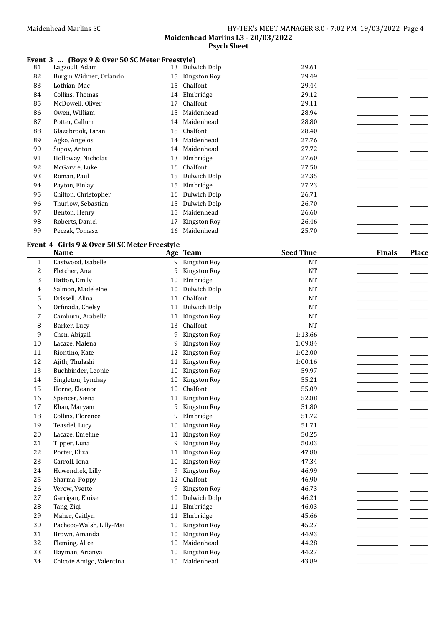## Event 3 ... (Boys 9 & Over 50 SC Meter Freestyle)

| 81 | Lagzouli, Adam         | 13 | Dulwich Dolp | 29.61 |  |
|----|------------------------|----|--------------|-------|--|
| 82 | Burgin Widmer, Orlando | 15 | Kingston Roy | 29.49 |  |
| 83 | Lothian, Mac           | 15 | Chalfont     | 29.44 |  |
| 84 | Collins, Thomas        | 14 | Elmbridge    | 29.12 |  |
| 85 | McDowell, Oliver       | 17 | Chalfont     | 29.11 |  |
| 86 | Owen, William          | 15 | Maidenhead   | 28.94 |  |
| 87 | Potter, Callum         | 14 | Maidenhead   | 28.80 |  |
| 88 | Glazebrook, Taran      | 18 | Chalfont     | 28.40 |  |
| 89 | Agko, Angelos          | 14 | Maidenhead   | 27.76 |  |
| 90 | Supov, Anton           | 14 | Maidenhead   | 27.72 |  |
| 91 | Holloway, Nicholas     | 13 | Elmbridge    | 27.60 |  |
| 92 | McGarvie, Luke         | 16 | Chalfont     | 27.50 |  |
| 93 | Roman, Paul            | 15 | Dulwich Dolp | 27.35 |  |
| 94 | Payton, Finlay         | 15 | Elmbridge    | 27.23 |  |
| 95 | Chilton, Christopher   | 16 | Dulwich Dolp | 26.71 |  |
| 96 | Thurlow, Sebastian     | 15 | Dulwich Dolp | 26.70 |  |
| 97 | Benton, Henry          | 15 | Maidenhead   | 26.60 |  |
| 98 | Roberts, Daniel        | 17 | Kingston Roy | 26.46 |  |
| 99 | Peczak, Tomasz         | 16 | Maidenhead   | 25.70 |  |

## Event 4 Girls 9 & Over 50 SC Meter Freestyle

|                | <b>Name</b>              |    | Age Team     | <b>Seed Time</b> | <b>Finals</b> | <b>Place</b> |
|----------------|--------------------------|----|--------------|------------------|---------------|--------------|
| $\mathbf{1}$   | Eastwood, Isabelle       | 9  | Kingston Roy | <b>NT</b>        |               |              |
| $\overline{c}$ | Fletcher, Ana            | 9  | Kingston Roy | <b>NT</b>        |               |              |
| 3              | Hatton, Emily            | 10 | Elmbridge    | <b>NT</b>        |               |              |
| $\overline{4}$ | Salmon, Madeleine        | 10 | Dulwich Dolp | NT               |               |              |
| 5              | Drissell, Alina          | 11 | Chalfont     | <b>NT</b>        |               |              |
| 6              | Orfinada, Chelsy         | 11 | Dulwich Dolp | <b>NT</b>        |               |              |
| 7              | Camburn, Arabella        | 11 | Kingston Roy | NT               |               |              |
| 8              | Barker, Lucy             | 13 | Chalfont     | <b>NT</b>        |               |              |
| 9              | Chen, Abigail            | 9  | Kingston Roy | 1:13.66          |               |              |
| $10\,$         | Lacaze, Malena           | 9  | Kingston Roy | 1:09.84          |               |              |
| 11             | Riontino, Kate           | 12 | Kingston Roy | 1:02.00          |               |              |
| 12             | Ajith, Thulashi          | 11 | Kingston Roy | 1:00.16          |               |              |
| 13             | Buchbinder, Leonie       | 10 | Kingston Roy | 59.97            |               |              |
| 14             | Singleton, Lyndsay       | 10 | Kingston Roy | 55.21            |               |              |
| 15             | Horne, Eleanor           | 10 | Chalfont     | 55.09            |               |              |
| 16             | Spencer, Siena           | 11 | Kingston Roy | 52.88            |               |              |
| 17             | Khan, Maryam             | 9  | Kingston Roy | 51.80            |               |              |
| 18             | Collins, Florence        | 9  | Elmbridge    | 51.72            |               |              |
| 19             | Teasdel, Lucy            | 10 | Kingston Roy | 51.71            |               |              |
| 20             | Lacaze, Emeline          | 11 | Kingston Roy | 50.25            |               |              |
| 21             | Tipper, Luna             | 9  | Kingston Roy | 50.03            |               |              |
| 22             | Porter, Eliza            | 11 | Kingston Roy | 47.80            |               |              |
| 23             | Carroll, Iona            | 10 | Kingston Roy | 47.34            |               |              |
| 24             | Huwendiek, Lilly         | 9  | Kingston Roy | 46.99            |               |              |
| 25             | Sharma, Poppy            | 12 | Chalfont     | 46.90            |               |              |
| 26             | Verow, Yvette            | 9  | Kingston Roy | 46.73            |               |              |
| 27             | Garrigan, Eloise         | 10 | Dulwich Dolp | 46.21            |               |              |
| 28             | Tang, Ziqi               | 11 | Elmbridge    | 46.03            |               |              |
| 29             | Maher, Caitlyn           | 11 | Elmbridge    | 45.66            |               |              |
| 30             | Pacheco-Walsh, Lilly-Mai | 10 | Kingston Roy | 45.27            |               |              |
| 31             | Brown, Amanda            | 10 | Kingston Roy | 44.93            |               |              |
| 32             | Fleming, Alice           | 10 | Maidenhead   | 44.28            |               |              |
| 33             | Hayman, Arianya          | 10 | Kingston Roy | 44.27            |               |              |
| 34             | Chicote Amigo, Valentina | 10 | Maidenhead   | 43.89            |               |              |
|                |                          |    |              |                  |               |              |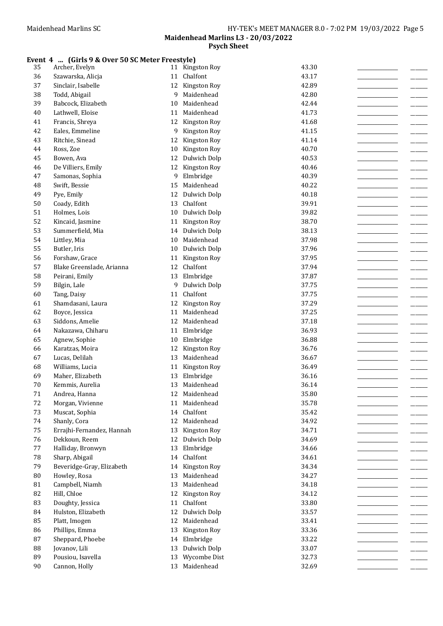# Event 4 ... (Girls 9 & Over 50 SC Meter Freestyle)

| 35 | Archer, Evelyn            |    | 11 Kingston Roy | 43.30 |
|----|---------------------------|----|-----------------|-------|
| 36 | Szawarska, Alicja         | 11 | Chalfont        | 43.17 |
| 37 | Sinclair, Isabelle        | 12 | Kingston Roy    | 42.89 |
| 38 | Todd, Abigail             | 9  | Maidenhead      | 42.80 |
| 39 | Babcock, Elizabeth        | 10 | Maidenhead      | 42.44 |
| 40 | Lathwell, Eloise          | 11 | Maidenhead      | 41.73 |
| 41 | Francis, Shreya           | 12 | Kingston Roy    | 41.68 |
| 42 | Eales, Emmeline           | 9  | Kingston Roy    | 41.15 |
| 43 | Ritchie, Sinead           | 12 | Kingston Roy    | 41.14 |
| 44 | Ross, Zoe                 | 10 | Kingston Roy    | 40.70 |
| 45 | Bowen, Ava                | 12 | Dulwich Dolp    | 40.53 |
| 46 | De Villiers, Emily        | 12 | Kingston Roy    | 40.46 |
| 47 | Samonas, Sophia           | 9  | Elmbridge       | 40.39 |
| 48 | Swift, Bessie             | 15 | Maidenhead      | 40.22 |
| 49 | Pye, Emily                | 12 | Dulwich Dolp    | 40.18 |
| 50 | Coady, Edith              | 13 | Chalfont        | 39.91 |
| 51 | Holmes, Lois              | 10 | Dulwich Dolp    | 39.82 |
| 52 |                           | 11 | Kingston Roy    | 38.70 |
| 53 | Kincaid, Jasmine          |    |                 |       |
|    | Summerfield, Mia          | 14 | Dulwich Dolp    | 38.13 |
| 54 | Littley, Mia              | 10 | Maidenhead      | 37.98 |
| 55 | Butler, Iris              | 10 | Dulwich Dolp    | 37.96 |
| 56 | Forshaw, Grace            | 11 | Kingston Roy    | 37.95 |
| 57 | Blake Greenslade, Arianna | 12 | Chalfont        | 37.94 |
| 58 | Peirani, Emily            | 13 | Elmbridge       | 37.87 |
| 59 | Bilgin, Lale              | 9  | Dulwich Dolp    | 37.75 |
| 60 | Tang, Daisy               | 11 | Chalfont        | 37.75 |
| 61 | Shamdasani, Laura         | 12 | Kingston Roy    | 37.29 |
| 62 | Boyce, Jessica            | 11 | Maidenhead      | 37.25 |
| 63 | Siddons, Amelie           | 12 | Maidenhead      | 37.18 |
| 64 | Nakazawa, Chiharu         | 11 | Elmbridge       | 36.93 |
| 65 | Agnew, Sophie             | 10 | Elmbridge       | 36.88 |
| 66 | Karatzas, Moira           | 12 | Kingston Roy    | 36.76 |
| 67 | Lucas, Delilah            | 13 | Maidenhead      | 36.67 |
| 68 | Williams, Lucia           | 11 | Kingston Roy    | 36.49 |
| 69 | Maher, Elizabeth          | 13 | Elmbridge       | 36.16 |
| 70 | Kemmis, Aurelia           | 13 | Maidenhead      | 36.14 |
| 71 | Andrea, Hanna             | 12 | Maidenhead      | 35.80 |
| 72 | Morgan, Vivienne          |    | 11 Maidenhead   | 35.78 |
| 73 | Muscat, Sophia            | 14 | Chalfont        | 35.42 |
| 74 | Shanly, Cora              | 12 | Maidenhead      | 34.92 |
| 75 | Errajhi-Fernandez, Hannah |    | 13 Kingston Roy | 34.71 |
| 76 | Dekkoun, Reem             |    | 12 Dulwich Dolp | 34.69 |
| 77 | Halliday, Bronwyn         | 13 | Elmbridge       | 34.66 |
| 78 | Sharp, Abigail            | 14 | Chalfont        | 34.61 |
| 79 | Beveridge-Gray, Elizabeth | 14 | Kingston Roy    | 34.34 |
| 80 | Howley, Rosa              | 13 | Maidenhead      | 34.27 |
| 81 | Campbell, Niamh           | 13 | Maidenhead      | 34.18 |
| 82 | Hill, Chloe               | 12 | Kingston Roy    | 34.12 |
| 83 | Doughty, Jessica          | 11 | Chalfont        | 33.80 |
| 84 | Hulston, Elizabeth        | 12 | Dulwich Dolp    | 33.57 |
| 85 | Platt, Imogen             | 12 | Maidenhead      | 33.41 |
| 86 | Phillips, Emma            | 13 | Kingston Roy    | 33.36 |
| 87 | Sheppard, Phoebe          | 14 | Elmbridge       | 33.22 |
| 88 | Jovanov, Lili             | 13 | Dulwich Dolp    | 33.07 |
| 89 | Pousiou, Isavella         | 13 | Wycombe Dist    | 32.73 |
| 90 | Cannon, Holly             |    | 13 Maidenhead   | 32.69 |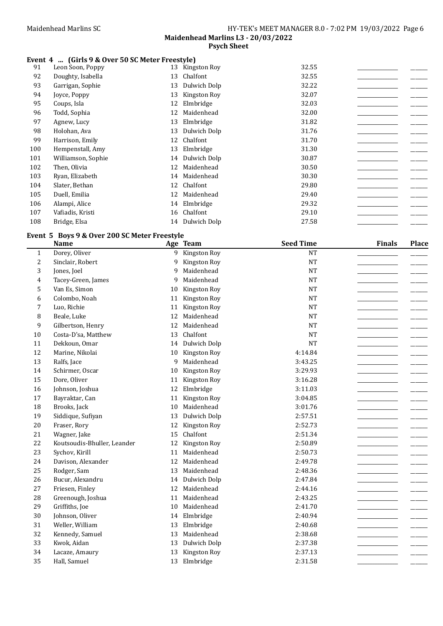## Event 4 ... (Girls 9 & Over 50 SC Meter Freestyle)

| 91  | Leon Soon, Poppy   |    | 13 Kingston Roy | 32.55 |  |
|-----|--------------------|----|-----------------|-------|--|
| 92  | Doughty, Isabella  | 13 | Chalfont        | 32.55 |  |
| 93  | Garrigan, Sophie   | 13 | Dulwich Dolp    | 32.22 |  |
| 94  | Joyce, Poppy       | 13 | Kingston Roy    | 32.07 |  |
| 95  | Coups, Isla        | 12 | Elmbridge       | 32.03 |  |
| 96  | Todd, Sophia       | 12 | Maidenhead      | 32.00 |  |
| 97  | Agnew, Lucy        | 13 | Elmbridge       | 31.82 |  |
| 98  | Holohan, Ava       | 13 | Dulwich Dolp    | 31.76 |  |
| 99  | Harrison, Emily    | 12 | Chalfont        | 31.70 |  |
| 100 | Hempenstall, Amy   | 13 | Elmbridge       | 31.30 |  |
| 101 | Williamson, Sophie |    | 14 Dulwich Dolp | 30.87 |  |
| 102 | Then, Olivia       | 12 | Maidenhead      | 30.50 |  |
| 103 | Ryan, Elizabeth    | 14 | Maidenhead      | 30.30 |  |
| 104 | Slater, Bethan     | 12 | Chalfont        | 29.80 |  |
| 105 | Duell, Emilia      | 12 | Maidenhead      | 29.40 |  |
| 106 | Alampi, Alice      | 14 | Elmbridge       | 29.32 |  |
| 107 | Vafiadis, Kristi   | 16 | Chalfont        | 29.10 |  |
| 108 | Bridge, Elsa       |    | 14 Dulwich Dolp | 27.58 |  |

# Event 5 Boys 9 & Over 200 SC Meter Freestyle

|                | <b>Name</b>                 |    | Age Team     | <b>Seed Time</b> | <b>Finals</b> | <b>Place</b> |
|----------------|-----------------------------|----|--------------|------------------|---------------|--------------|
| $\mathbf{1}$   | Dorey, Oliver               | 9  | Kingston Roy | <b>NT</b>        |               |              |
| $\overline{c}$ | Sinclair, Robert            | 9  | Kingston Roy | <b>NT</b>        |               |              |
| 3              | Jones, Joel                 | 9  | Maidenhead   | <b>NT</b>        |               |              |
| 4              | Tacey-Green, James          | 9  | Maidenhead   | <b>NT</b>        |               |              |
| 5              | Van Es, Simon               | 10 | Kingston Roy | <b>NT</b>        |               |              |
| 6              | Colombo, Noah               | 11 | Kingston Roy | <b>NT</b>        |               |              |
| 7              | Luo, Richie                 | 11 | Kingston Roy | <b>NT</b>        |               |              |
| 8              | Beale, Luke                 | 12 | Maidenhead   | <b>NT</b>        |               |              |
| 9              | Gilbertson, Henry           | 12 | Maidenhead   | <b>NT</b>        |               |              |
| 10             | Costa-D'sa, Matthew         | 13 | Chalfont     | <b>NT</b>        |               |              |
| 11             | Dekkoun, Omar               | 14 | Dulwich Dolp | <b>NT</b>        |               |              |
| 12             | Marine, Nikolai             | 10 | Kingston Roy | 4:14.84          |               |              |
| 13             | Ralfs, Jace                 | 9  | Maidenhead   | 3:43.25          |               |              |
| 14             | Schirmer, Oscar             | 10 | Kingston Roy | 3:29.93          |               |              |
| 15             | Dore, Oliver                | 11 | Kingston Roy | 3:16.28          |               |              |
| 16             | Johnson, Joshua             | 12 | Elmbridge    | 3:11.03          |               |              |
| 17             | Bayraktar, Can              | 11 | Kingston Roy | 3:04.85          |               |              |
| 18             | Brooks, Jack                | 10 | Maidenhead   | 3:01.76          |               |              |
| 19             | Siddique, Sufiyan           | 13 | Dulwich Dolp | 2:57.51          |               |              |
| 20             | Fraser, Rory                | 12 | Kingston Roy | 2:52.73          |               |              |
| 21             | Wagner, Jake                | 15 | Chalfont     | 2:51.34          |               |              |
| 22             | Koutsoudis-Bhuller, Leander | 12 | Kingston Roy | 2:50.89          |               |              |
| 23             | Sychov, Kirill              | 11 | Maidenhead   | 2:50.73          |               |              |
| 24             | Davison, Alexander          | 12 | Maidenhead   | 2:49.78          |               |              |
| 25             | Rodger, Sam                 | 13 | Maidenhead   | 2:48.36          |               |              |
| 26             | Bucur, Alexandru            | 14 | Dulwich Dolp | 2:47.84          |               |              |
| 27             | Friesen, Finley             | 12 | Maidenhead   | 2:44.16          |               |              |
| 28             | Greenough, Joshua           | 11 | Maidenhead   | 2:43.25          |               |              |
| 29             | Griffiths, Joe              | 10 | Maidenhead   | 2:41.70          |               |              |
| 30             | Johnson, Oliver             | 14 | Elmbridge    | 2:40.94          |               |              |
| 31             | Weller, William             | 13 | Elmbridge    | 2:40.68          |               |              |
| 32             | Kennedy, Samuel             | 13 | Maidenhead   | 2:38.68          |               |              |
| 33             | Kwok, Aidan                 | 13 | Dulwich Dolp | 2:37.38          |               |              |
| 34             | Lacaze, Amaury              | 13 | Kingston Roy | 2:37.13          |               |              |
| 35             | Hall, Samuel                |    | 13 Elmbridge | 2:31.58          |               |              |
|                |                             |    |              |                  |               |              |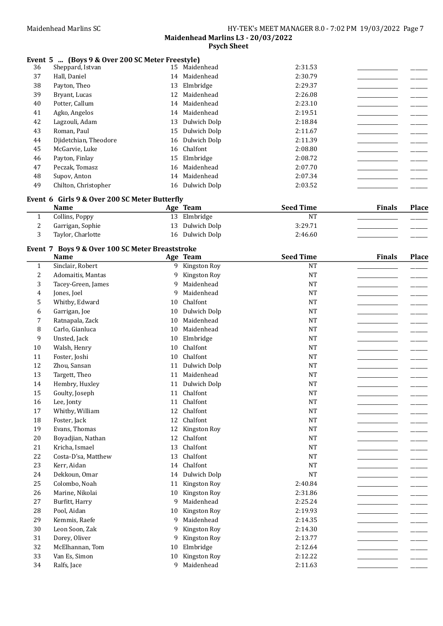### Event 5 ... (Boys 9 & Over 200 SC Meter Freestyle)

| 36 | Sheppard, Istvan      | 15 | Maidenhead      | 2:31.53 |  |
|----|-----------------------|----|-----------------|---------|--|
| 37 | Hall, Daniel          | 14 | Maidenhead      | 2:30.79 |  |
| 38 | Payton, Theo          | 13 | Elmbridge       | 2:29.37 |  |
| 39 | Bryant, Lucas         | 12 | Maidenhead      | 2:26.08 |  |
| 40 | Potter, Callum        | 14 | Maidenhead      | 2:23.10 |  |
| 41 | Agko, Angelos         |    | 14 Maidenhead   | 2:19.51 |  |
| 42 | Lagzouli, Adam        | 13 | Dulwich Dolp    | 2:18.84 |  |
| 43 | Roman, Paul           | 15 | Dulwich Dolp    | 2:11.67 |  |
| 44 | Djidetchian, Theodore |    | 16 Dulwich Dolp | 2:11.39 |  |
| 45 | McGarvie, Luke        |    | 16 Chalfont     | 2:08.80 |  |
| 46 | Payton, Finlay        | 15 | Elmbridge       | 2:08.72 |  |
| 47 | Peczak, Tomasz        | 16 | Maidenhead      | 2:07.70 |  |
| 48 | Supov, Anton          |    | 14 Maidenhead   | 2:07.34 |  |
| 49 | Chilton, Christopher  | 16 | Dulwich Dolp    | 2:03.52 |  |

## Event 6 Girls 9 & Over 200 SC Meter Butterfly

| <b>Name</b>       | Age Team        | <b>Seed Time</b> | <b>Finals</b> | <b>Place</b> |
|-------------------|-----------------|------------------|---------------|--------------|
| Collins, Poppy    | 13 Elmbridge    | <b>NT</b>        |               |              |
| Garrigan, Sophie  | 13 Dulwich Dolp | 3:29.71          |               |              |
| Taylor, Charlotte | 16 Dulwich Dolp | 2:46.60          |               |              |

# Event 7 Boys 9 & Over 100 SC Meter Breaststroke

|              | <b>Name</b>         |              | Age Team     | <b>Seed Time</b> | <b>Finals</b> | <b>Place</b> |
|--------------|---------------------|--------------|--------------|------------------|---------------|--------------|
| $\mathbf{1}$ | Sinclair, Robert    | 9            | Kingston Roy | <b>NT</b>        |               |              |
| 2            | Adomaitis, Mantas   | 9            | Kingston Roy | <b>NT</b>        |               |              |
| 3            | Tacey-Green, James  | $\mathbf{q}$ | Maidenhead   | <b>NT</b>        |               |              |
| 4            | Jones, Joel         | 9            | Maidenhead   | <b>NT</b>        |               |              |
| 5            | Whitby, Edward      | 10           | Chalfont     | <b>NT</b>        |               |              |
| 6            | Garrigan, Joe       | 10           | Dulwich Dolp | <b>NT</b>        |               |              |
| 7            | Ratnapala, Zack     | 10           | Maidenhead   | <b>NT</b>        |               |              |
| 8            | Carlo, Gianluca     | 10           | Maidenhead   | <b>NT</b>        |               |              |
| 9            | Unsted, Jack        | 10           | Elmbridge    | <b>NT</b>        |               |              |
| 10           | Walsh, Henry        | 10           | Chalfont     | <b>NT</b>        |               |              |
| 11           | Foster, Joshi       | 10           | Chalfont     | <b>NT</b>        |               |              |
| 12           | Zhou, Sansan        | 11           | Dulwich Dolp | <b>NT</b>        |               |              |
| 13           | Targett, Theo       | 11           | Maidenhead   | <b>NT</b>        |               |              |
| 14           | Hembry, Huxley      | 11           | Dulwich Dolp | <b>NT</b>        |               |              |
| 15           | Goulty, Joseph      | 11           | Chalfont     | <b>NT</b>        |               |              |
| 16           | Lee, Jonty          | 11           | Chalfont     | <b>NT</b>        |               |              |
| 17           | Whitby, William     | 12           | Chalfont     | <b>NT</b>        |               |              |
| 18           | Foster, Jack        | 12           | Chalfont     | <b>NT</b>        |               |              |
| 19           | Evans, Thomas       | 12           | Kingston Roy | <b>NT</b>        |               |              |
| 20           | Boyadjian, Nathan   | 12           | Chalfont     | <b>NT</b>        |               |              |
| 21           | Kricha, Ismael      | 13           | Chalfont     | <b>NT</b>        |               |              |
| 22           | Costa-D'sa, Matthew | 13           | Chalfont     | <b>NT</b>        |               |              |
| 23           | Kerr, Aidan         | 14           | Chalfont     | <b>NT</b>        |               |              |
| 24           | Dekkoun, Omar       | 14           | Dulwich Dolp | <b>NT</b>        |               |              |
| 25           | Colombo, Noah       | 11           | Kingston Roy | 2:40.84          |               |              |
| 26           | Marine, Nikolai     | 10           | Kingston Roy | 2:31.86          |               |              |
| 27           | Burfitt, Harry      | 9            | Maidenhead   | 2:25.24          |               |              |
| 28           | Pool, Aidan         | 10           | Kingston Roy | 2:19.93          |               |              |
| 29           | Kemmis, Raefe       | 9            | Maidenhead   | 2:14.35          |               |              |
| 30           | Leon Soon, Zak      | 9            | Kingston Roy | 2:14.30          |               |              |
| 31           | Dorey, Oliver       | 9            | Kingston Roy | 2:13.77          |               |              |
| 32           | McElhannan, Tom     | 10           | Elmbridge    | 2:12.64          |               |              |
| 33           | Van Es, Simon       | 10           | Kingston Roy | 2:12.22          |               |              |
| 34           | Ralfs, Jace         | 9            | Maidenhead   | 2:11.63          |               |              |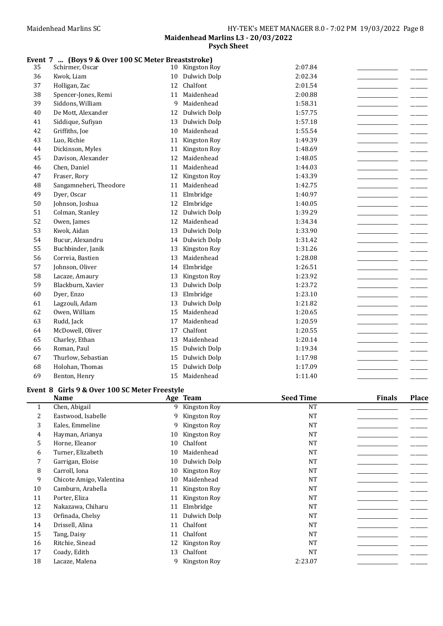#### Event 7 ... (Boys 9 & Over 100 SC Meter Breaststroke)

| 35 | Schirmer, Oscar        |    | 10 Kingston Roy | 2:07.84 |
|----|------------------------|----|-----------------|---------|
| 36 | Kwok, Liam             | 10 | Dulwich Dolp    | 2:02.34 |
| 37 | Holligan, Zac          | 12 | Chalfont        | 2:01.54 |
| 38 | Spencer-Jones, Remi    | 11 | Maidenhead      | 2:00.88 |
| 39 | Siddons, William       | 9  | Maidenhead      | 1:58.31 |
| 40 | De Mott, Alexander     | 12 | Dulwich Dolp    | 1:57.75 |
| 41 | Siddique, Sufiyan      | 13 | Dulwich Dolp    | 1:57.18 |
| 42 | Griffiths, Joe         | 10 | Maidenhead      | 1:55.54 |
| 43 | Luo, Richie            | 11 | Kingston Roy    | 1:49.39 |
| 44 | Dickinson, Myles       | 11 | Kingston Roy    | 1:48.69 |
| 45 | Davison, Alexander     | 12 | Maidenhead      | 1:48.05 |
| 46 | Chen, Daniel           | 11 | Maidenhead      | 1:44.03 |
| 47 | Fraser, Rory           | 12 | Kingston Roy    | 1:43.39 |
| 48 | Sangamneheri, Theodore | 11 | Maidenhead      | 1:42.75 |
| 49 | Dyer, Oscar            | 11 | Elmbridge       | 1:40.97 |
| 50 | Johnson, Joshua        | 12 | Elmbridge       | 1:40.05 |
| 51 | Colman, Stanley        | 12 | Dulwich Dolp    | 1:39.29 |
| 52 | Owen, James            | 12 | Maidenhead      | 1:34.34 |
| 53 | Kwok, Aidan            | 13 | Dulwich Dolp    | 1:33.90 |
| 54 | Bucur, Alexandru       | 14 | Dulwich Dolp    | 1:31.42 |
| 55 | Buchbinder, Janik      | 13 | Kingston Roy    | 1:31.26 |
| 56 | Correia, Bastien       | 13 | Maidenhead      | 1:28.08 |
| 57 | Johnson, Oliver        | 14 | Elmbridge       | 1:26.51 |
| 58 | Lacaze, Amaury         | 13 | Kingston Roy    | 1:23.92 |
| 59 | Blackburn, Xavier      | 13 | Dulwich Dolp    | 1:23.72 |
| 60 | Dyer, Enzo             | 13 | Elmbridge       | 1:23.10 |
| 61 | Lagzouli, Adam         | 13 | Dulwich Dolp    | 1:21.82 |
| 62 | Owen, William          | 15 | Maidenhead      | 1:20.65 |
| 63 | Rudd, Jack             | 17 | Maidenhead      | 1:20.59 |
| 64 | McDowell, Oliver       | 17 | Chalfont        | 1:20.55 |
| 65 | Charley, Ethan         | 13 | Maidenhead      | 1:20.14 |
| 66 | Roman, Paul            | 15 | Dulwich Dolp    | 1:19.34 |
| 67 | Thurlow, Sebastian     | 15 | Dulwich Dolp    | 1:17.98 |
| 68 | Holohan, Thomas        | 15 | Dulwich Dolp    | 1:17.09 |
| 69 | Benton, Henry          | 15 | Maidenhead      | 1:11.40 |

### Event 8 Girls 9 & Over 100 SC Meter Freestyle

|    | <b>Name</b>              |    | Age Team       | <b>Seed Time</b> | <b>Finals</b> | <b>Place</b> |
|----|--------------------------|----|----------------|------------------|---------------|--------------|
| 1  | Chen, Abigail            | 9  | Kingston Roy   | NT               |               |              |
| 2  | Eastwood, Isabelle       | 9  | Kingston Roy   | <b>NT</b>        |               |              |
| 3  | Eales, Emmeline          | 9  | Kingston Roy   | <b>NT</b>        |               |              |
| 4  | Hayman, Arianya          | 10 | Kingston Roy   | <b>NT</b>        |               |              |
| 5  | Horne, Eleanor           | 10 | Chalfont       | <b>NT</b>        |               |              |
| 6  | Turner, Elizabeth        | 10 | Maidenhead     | <b>NT</b>        |               |              |
| 7  | Garrigan, Eloise         | 10 | Dulwich Dolp   | <b>NT</b>        |               |              |
| 8  | Carroll, Iona            | 10 | Kingston Roy   | <b>NT</b>        |               |              |
| 9  | Chicote Amigo, Valentina | 10 | Maidenhead     | <b>NT</b>        |               |              |
| 10 | Camburn, Arabella        | 11 | Kingston Roy   | <b>NT</b>        |               |              |
| 11 | Porter, Eliza            | 11 | Kingston Roy   | <b>NT</b>        |               |              |
| 12 | Nakazawa, Chiharu        | 11 | Elmbridge      | <b>NT</b>        |               |              |
| 13 | Orfinada, Chelsy         | 11 | Dulwich Dolp   | <b>NT</b>        |               |              |
| 14 | Drissell, Alina          | 11 | Chalfont       | <b>NT</b>        |               |              |
| 15 | Tang, Daisy              | 11 | Chalfont       | <b>NT</b>        |               |              |
| 16 | Ritchie, Sinead          | 12 | Kingston Roy   | <b>NT</b>        |               |              |
| 17 | Coady, Edith             | 13 | Chalfont       | <b>NT</b>        |               |              |
| 18 | Lacaze, Malena           |    | 9 Kingston Roy | 2:23.07          |               |              |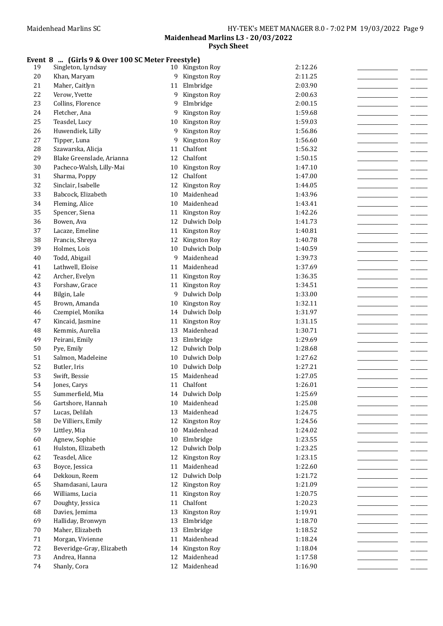#### Event 8 ... (Girls 9 & Over 100 SC Meter Freestyle)

| 19     | Singleton, Lyndsay        | 10 | Kingston Roy               | 2:12.26 |
|--------|---------------------------|----|----------------------------|---------|
| $20\,$ | Khan, Maryam              | 9  | Kingston Roy               | 2:11.25 |
| 21     | Maher, Caitlyn            | 11 | Elmbridge                  | 2:03.90 |
| 22     | Verow, Yvette             | 9  | Kingston Roy               | 2:00.63 |
| 23     | Collins, Florence         | 9  | Elmbridge                  | 2:00.15 |
| 24     | Fletcher, Ana             | 9  | Kingston Roy               | 1:59.68 |
| 25     | Teasdel, Lucy             | 10 | Kingston Roy               | 1:59.03 |
| 26     | Huwendiek, Lilly          | 9  | Kingston Roy               | 1:56.86 |
| 27     | Tipper, Luna              | 9  | Kingston Roy               | 1:56.60 |
| 28     | Szawarska, Alicja         | 11 | Chalfont                   | 1:56.32 |
| 29     | Blake Greenslade, Arianna | 12 | Chalfont                   | 1:50.15 |
| 30     | Pacheco-Walsh, Lilly-Mai  | 10 | Kingston Roy               | 1:47.10 |
| 31     | Sharma, Poppy             | 12 | Chalfont                   | 1:47.00 |
| 32     | Sinclair, Isabelle        | 12 | Kingston Roy               | 1:44.05 |
| 33     | Babcock, Elizabeth        | 10 | Maidenhead                 | 1:43.96 |
| 34     | Fleming, Alice            | 10 | Maidenhead                 | 1:43.41 |
| 35     | Spencer, Siena            | 11 | Kingston Roy               | 1:42.26 |
| 36     | Bowen, Ava                | 12 | Dulwich Dolp               | 1:41.73 |
| 37     |                           | 11 | Kingston Roy               | 1:40.81 |
| 38     | Lacaze, Emeline           |    |                            |         |
| 39     | Francis, Shreya           | 12 | Kingston Roy               | 1:40.78 |
|        | Holmes, Lois              | 10 | Dulwich Dolp<br>Maidenhead | 1:40.59 |
| $40\,$ | Todd, Abigail             | 9  |                            | 1:39.73 |
| 41     | Lathwell, Eloise          | 11 | Maidenhead                 | 1:37.69 |
| 42     | Archer, Evelyn            | 11 | Kingston Roy               | 1:36.35 |
| 43     | Forshaw, Grace            |    | 11 Kingston Roy            | 1:34.51 |
| 44     | Bilgin, Lale              | 9  | Dulwich Dolp               | 1:33.00 |
| 45     | Brown, Amanda             | 10 | Kingston Roy               | 1:32.11 |
| 46     | Czempiel, Monika          | 14 | Dulwich Dolp               | 1:31.97 |
| 47     | Kincaid, Jasmine          | 11 | Kingston Roy               | 1:31.15 |
| 48     | Kemmis, Aurelia           | 13 | Maidenhead                 | 1:30.71 |
| 49     | Peirani, Emily            | 13 | Elmbridge                  | 1:29.69 |
| 50     | Pye, Emily                | 12 | Dulwich Dolp               | 1:28.68 |
| 51     | Salmon, Madeleine         | 10 | Dulwich Dolp               | 1:27.62 |
| 52     | Butler, Iris              | 10 | Dulwich Dolp               | 1:27.21 |
| 53     | Swift, Bessie             | 15 | Maidenhead                 | 1:27.05 |
| 54     | Jones, Carys              | 11 | Chalfont                   | 1:26.01 |
| 55     | Summerfield, Mia          |    | 14 Dulwich Dolp            | 1:25.69 |
| 56     | Gartshore, Hannah         | 10 | Maidenhead                 | 1:25.08 |
| 57     | Lucas, Delilah            | 13 | Maidenhead                 | 1:24.75 |
| 58     | De Villiers, Emily        | 12 | Kingston Roy               | 1:24.56 |
| 59     | Littley, Mia              | 10 | Maidenhead                 | 1:24.02 |
| 60     | Agnew, Sophie             | 10 | Elmbridge                  | 1:23.55 |
| 61     | Hulston, Elizabeth        | 12 | Dulwich Dolp               | 1:23.25 |
| 62     | Teasdel, Alice            | 12 | Kingston Roy               | 1:23.15 |
| 63     | Boyce, Jessica            | 11 | Maidenhead                 | 1:22.60 |
| 64     | Dekkoun, Reem             | 12 | Dulwich Dolp               | 1:21.72 |
| 65     | Shamdasani, Laura         | 12 | Kingston Roy               | 1:21.09 |
| 66     | Williams, Lucia           | 11 | Kingston Roy               | 1:20.75 |
| 67     | Doughty, Jessica          | 11 | Chalfont                   | 1:20.23 |
| 68     | Davies, Jemima            | 13 | Kingston Roy               | 1:19.91 |
| 69     | Halliday, Bronwyn         | 13 | Elmbridge                  | 1:18.70 |
| $70\,$ | Maher, Elizabeth          | 13 | Elmbridge                  | 1:18.52 |
| $71\,$ | Morgan, Vivienne          | 11 | Maidenhead                 | 1:18.24 |
| $72\,$ | Beveridge-Gray, Elizabeth | 14 | Kingston Roy               | 1:18.04 |
| 73     | Andrea, Hanna             | 12 | Maidenhead                 | 1:17.58 |
| 74     | Shanly, Cora              |    | 12 Maidenhead              | 1:16.90 |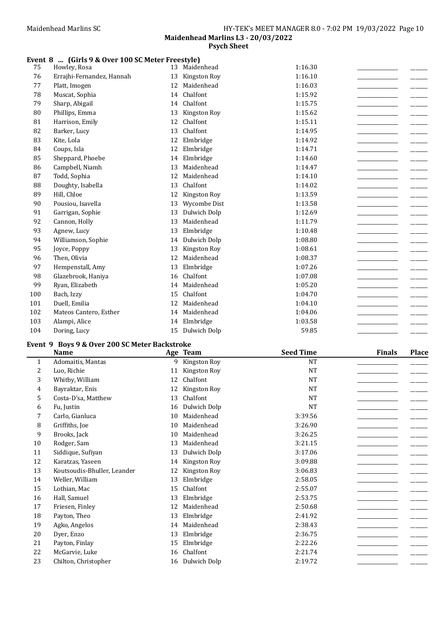## Event 8 ... (Girls 9 & Over 100 SC Meter Freestyle)

| 75  | Howley, Rosa              | 13 | Maidenhead   | 1:16.30 |  |
|-----|---------------------------|----|--------------|---------|--|
| 76  | Errajhi-Fernandez, Hannah | 13 | Kingston Roy | 1:16.10 |  |
| 77  | Platt, Imogen             | 12 | Maidenhead   | 1:16.03 |  |
| 78  | Muscat, Sophia            | 14 | Chalfont     | 1:15.92 |  |
| 79  | Sharp, Abigail            | 14 | Chalfont     | 1:15.75 |  |
| 80  | Phillips, Emma            | 13 | Kingston Roy | 1:15.62 |  |
| 81  | Harrison, Emily           | 12 | Chalfont     | 1:15.11 |  |
| 82  | Barker, Lucy              | 13 | Chalfont     | 1:14.95 |  |
| 83  | Kite, Lola                | 12 | Elmbridge    | 1:14.92 |  |
| 84  | Coups, Isla               | 12 | Elmbridge    | 1:14.71 |  |
| 85  | Sheppard, Phoebe          | 14 | Elmbridge    | 1:14.60 |  |
| 86  | Campbell, Niamh           | 13 | Maidenhead   | 1:14.47 |  |
| 87  | Todd, Sophia              | 12 | Maidenhead   | 1:14.10 |  |
| 88  | Doughty, Isabella         | 13 | Chalfont     | 1:14.02 |  |
| 89  | Hill, Chloe               | 12 | Kingston Roy | 1:13.59 |  |
| 90  | Pousiou, Isavella         | 13 | Wycombe Dist | 1:13.58 |  |
| 91  | Garrigan, Sophie          | 13 | Dulwich Dolp | 1:12.69 |  |
| 92  | Cannon, Holly             | 13 | Maidenhead   | 1:11.79 |  |
| 93  | Agnew, Lucy               | 13 | Elmbridge    | 1:10.48 |  |
| 94  | Williamson, Sophie        | 14 | Dulwich Dolp | 1:08.80 |  |
| 95  | Joyce, Poppy              | 13 | Kingston Roy | 1:08.61 |  |
| 96  | Then, Olivia              | 12 | Maidenhead   | 1:08.37 |  |
| 97  | Hempenstall, Amy          | 13 | Elmbridge    | 1:07.26 |  |
| 98  | Glazebrook, Haniya        | 16 | Chalfont     | 1:07.08 |  |
| 99  | Ryan, Elizabeth           | 14 | Maidenhead   | 1:05.20 |  |
| 100 | Bach, Izzy                | 15 | Chalfont     | 1:04.70 |  |
| 101 | Duell, Emilia             | 12 | Maidenhead   | 1:04.10 |  |
| 102 | Mateos Cantero, Esther    | 14 | Maidenhead   | 1:04.06 |  |
| 103 | Alampi, Alice             | 14 | Elmbridge    | 1:03.58 |  |
| 104 | Doring, Lucy              | 15 | Dulwich Dolp | 59.85   |  |

## Event 9 Boys 9 & Over 200 SC Meter Backstroke

|              | <b>Name</b>                 |    | Age Team        | <b>Seed Time</b> | <b>Finals</b> | <b>Place</b> |
|--------------|-----------------------------|----|-----------------|------------------|---------------|--------------|
| $\mathbf{1}$ | Adomaitis, Mantas           | 9  | Kingston Roy    | <b>NT</b>        |               |              |
| 2            | Luo, Richie                 | 11 | Kingston Roy    | NT               |               |              |
| 3            | Whitby, William             | 12 | Chalfont        | <b>NT</b>        |               |              |
| 4            | Bayraktar, Enis             | 12 | Kingston Roy    | <b>NT</b>        |               |              |
| 5            | Costa-D'sa, Matthew         | 13 | Chalfont        | <b>NT</b>        |               |              |
| 6            | Fu, Justin                  | 16 | Dulwich Dolp    | <b>NT</b>        |               |              |
| 7            | Carlo, Gianluca             | 10 | Maidenhead      | 3:39.56          |               |              |
| 8            | Griffiths, Joe              | 10 | Maidenhead      | 3:26.90          |               |              |
| 9            | Brooks, Jack                | 10 | Maidenhead      | 3:26.25          |               |              |
| 10           | Rodger, Sam                 | 13 | Maidenhead      | 3:21.15          |               |              |
| 11           | Siddique, Sufiyan           | 13 | Dulwich Dolp    | 3:17.06          |               |              |
| 12           | Karatzas, Yaseen            | 14 | Kingston Roy    | 3:09.88          |               |              |
| 13           | Koutsoudis-Bhuller, Leander | 12 | Kingston Roy    | 3:06.83          |               |              |
| 14           | Weller, William             | 13 | Elmbridge       | 2:58.05          |               |              |
| 15           | Lothian, Mac                | 15 | Chalfont        | 2:55.07          |               |              |
| 16           | Hall, Samuel                | 13 | Elmbridge       | 2:53.75          |               |              |
| 17           | Friesen, Finley             | 12 | Maidenhead      | 2:50.68          |               |              |
| 18           | Payton, Theo                | 13 | Elmbridge       | 2:41.92          |               |              |
| 19           | Agko, Angelos               | 14 | Maidenhead      | 2:38.43          |               |              |
| 20           | Dyer, Enzo                  | 13 | Elmbridge       | 2:36.75          |               |              |
| 21           | Payton, Finlay              | 15 | Elmbridge       | 2:22.26          |               |              |
| 22           | McGarvie, Luke              | 16 | Chalfont        | 2:21.74          |               |              |
| 23           | Chilton, Christopher        |    | 16 Dulwich Dolp | 2:19.72          |               |              |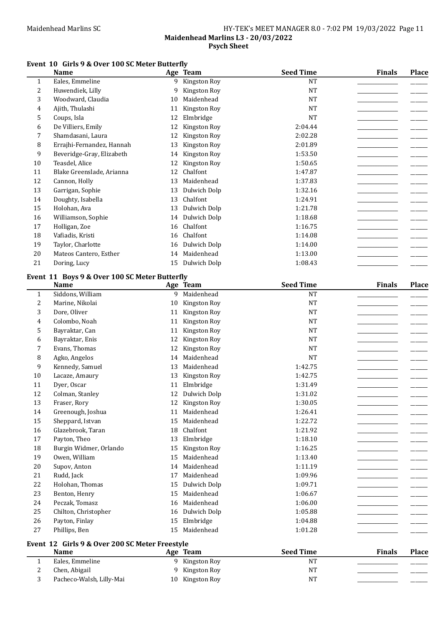# Maidenhead Marlins SC Mathematic Management SC HY-TEK's MEET MANAGER 8.0 - 7:02 PM 19/03/2022 Page 11 Maidenhead Marlins L3 - 20/03/2022

Psych Sheet

## Event 10 Girls 9 & Over 100 SC Meter Butterfly

|              | <b>Name</b>               |    | Age Team     | <b>Seed Time</b> | <b>Finals</b> | <b>Place</b> |
|--------------|---------------------------|----|--------------|------------------|---------------|--------------|
| $\mathbf{1}$ | Eales, Emmeline           | 9  | Kingston Roy | NT               |               |              |
| 2            | Huwendiek, Lilly          | 9  | Kingston Roy | <b>NT</b>        |               |              |
| 3            | Woodward, Claudia         | 10 | Maidenhead   | <b>NT</b>        |               |              |
| 4            | Ajith, Thulashi           | 11 | Kingston Roy | <b>NT</b>        |               |              |
| 5            | Coups, Isla               | 12 | Elmbridge    | <b>NT</b>        |               |              |
| 6            | De Villiers, Emily        | 12 | Kingston Roy | 2:04.44          |               |              |
| 7            | Shamdasani, Laura         | 12 | Kingston Roy | 2:02.28          |               |              |
| 8            | Errajhi-Fernandez, Hannah | 13 | Kingston Roy | 2:01.89          |               |              |
| 9            | Beveridge-Gray, Elizabeth | 14 | Kingston Roy | 1:53.50          |               |              |
| 10           | Teasdel, Alice            | 12 | Kingston Roy | 1:50.65          |               |              |
| 11           | Blake Greenslade, Arianna | 12 | Chalfont     | 1:47.87          |               |              |
| 12           | Cannon, Holly             | 13 | Maidenhead   | 1:37.83          |               |              |
| 13           | Garrigan, Sophie          | 13 | Dulwich Dolp | 1:32.16          |               |              |
| 14           | Doughty, Isabella         | 13 | Chalfont     | 1:24.91          |               |              |
| 15           | Holohan, Ava              | 13 | Dulwich Dolp | 1:21.78          |               |              |
| 16           | Williamson, Sophie        | 14 | Dulwich Dolp | 1:18.68          |               |              |
| 17           | Holligan, Zoe             | 16 | Chalfont     | 1:16.75          |               |              |
| 18           | Vafiadis, Kristi          | 16 | Chalfont     | 1:14.08          |               |              |
| 19           | Taylor, Charlotte         | 16 | Dulwich Dolp | 1:14.00          |               |              |
| 20           | Mateos Cantero, Esther    | 14 | Maidenhead   | 1:13.00          |               |              |
| 21           | Doring, Lucy              | 15 | Dulwich Dolp | 1:08.43          |               |              |

## Event 11 Boys 9 & Over 100 SC Meter Butterfly

|                | <b>Name</b>                                    |    | Age Team            | <b>Seed Time</b> | <b>Finals</b> | <b>Place</b> |
|----------------|------------------------------------------------|----|---------------------|------------------|---------------|--------------|
| $\mathbf{1}$   | Siddons, William                               | 9  | Maidenhead          | <b>NT</b>        |               |              |
| 2              | Marine, Nikolai                                | 10 | Kingston Roy        | <b>NT</b>        |               |              |
| 3              | Dore, Oliver                                   | 11 | Kingston Roy        | <b>NT</b>        |               |              |
| 4              | Colombo, Noah                                  | 11 | Kingston Roy        | <b>NT</b>        |               |              |
| 5              | Bayraktar, Can                                 | 11 | Kingston Roy        | <b>NT</b>        |               |              |
| 6              | Bayraktar, Enis                                | 12 | Kingston Roy        | <b>NT</b>        |               |              |
| 7              | Evans, Thomas                                  | 12 | Kingston Roy        | <b>NT</b>        |               |              |
| 8              | Agko, Angelos                                  | 14 | Maidenhead          | <b>NT</b>        |               |              |
| 9              | Kennedy, Samuel                                | 13 | Maidenhead          | 1:42.75          |               |              |
| 10             | Lacaze, Amaury                                 | 13 | Kingston Roy        | 1:42.75          |               |              |
| 11             | Dyer, Oscar                                    | 11 | Elmbridge           | 1:31.49          |               |              |
| 12             | Colman, Stanley                                | 12 | Dulwich Dolp        | 1:31.02          |               |              |
| 13             | Fraser, Rory                                   | 12 | Kingston Roy        | 1:30.05          |               |              |
| 14             | Greenough, Joshua                              | 11 | Maidenhead          | 1:26.41          |               |              |
| 15             | Sheppard, Istvan                               | 15 | Maidenhead          | 1:22.72          |               |              |
| 16             | Glazebrook, Taran                              | 18 | Chalfont            | 1:21.92          |               |              |
| 17             | Payton, Theo                                   | 13 | Elmbridge           | 1:18.10          |               |              |
| 18             | Burgin Widmer, Orlando                         | 15 | Kingston Roy        | 1:16.25          |               |              |
| 19             | Owen, William                                  | 15 | Maidenhead          | 1:13.40          |               |              |
| 20             | Supov, Anton                                   | 14 | Maidenhead          | 1:11.19          |               |              |
| 21             | Rudd, Jack                                     | 17 | Maidenhead          | 1:09.96          |               |              |
| 22             | Holohan, Thomas                                | 15 | Dulwich Dolp        | 1:09.71          |               |              |
| 23             | Benton, Henry                                  | 15 | Maidenhead          | 1:06.67          |               |              |
| 24             | Peczak, Tomasz                                 | 16 | Maidenhead          | 1:06.00          |               |              |
| 25             | Chilton, Christopher                           | 16 | Dulwich Dolp        | 1:05.88          |               |              |
| 26             | Payton, Finlay                                 | 15 | Elmbridge           | 1:04.88          |               |              |
| 27             | Phillips, Ben                                  | 15 | Maidenhead          | 1:01.28          |               |              |
|                | Event 12 Girls 9 & Over 200 SC Meter Freestyle |    |                     |                  |               |              |
|                | <b>Name</b>                                    |    | Age Team            | <b>Seed Time</b> | <b>Finals</b> | <b>Place</b> |
| $\mathbf{1}$   | Eales, Emmeline                                | 9  | Kingston Roy        | <b>NT</b>        |               |              |
| $\overline{c}$ | Chen, Abigail                                  | 9  | Kingston Roy        | <b>NT</b>        |               |              |
| 3              | Pacheco-Walsh, Lilly-Mai                       | 10 | <b>Kingston Roy</b> | <b>NT</b>        |               |              |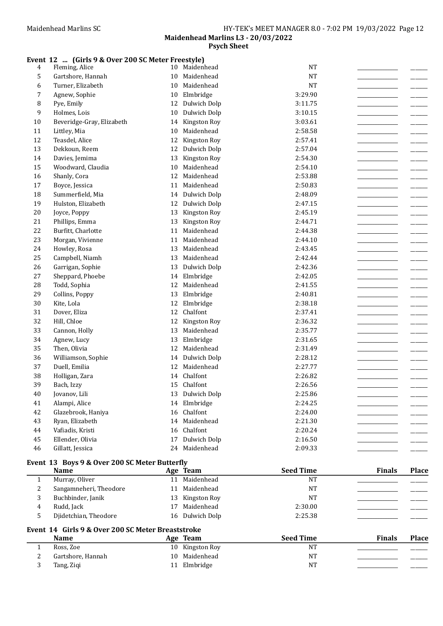## Event 12 ... (Girls 9 & Over 200 SC Meter Freestyle)

| 4      | Fleming, Alice            | 10 | Maidenhead    | <b>NT</b> |  |
|--------|---------------------------|----|---------------|-----------|--|
| 5      | Gartshore, Hannah         | 10 | Maidenhead    | <b>NT</b> |  |
| 6      | Turner, Elizabeth         | 10 | Maidenhead    | <b>NT</b> |  |
| 7      | Agnew, Sophie             | 10 | Elmbridge     | 3:29.90   |  |
| 8      | Pye, Emily                | 12 | Dulwich Dolp  | 3:11.75   |  |
| 9      | Holmes, Lois              | 10 | Dulwich Dolp  | 3:10.15   |  |
| 10     | Beveridge-Gray, Elizabeth | 14 | Kingston Roy  | 3:03.61   |  |
| 11     | Littley, Mia              | 10 | Maidenhead    | 2:58.58   |  |
| 12     | Teasdel, Alice            | 12 | Kingston Roy  | 2:57.41   |  |
| 13     | Dekkoun, Reem             | 12 | Dulwich Dolp  | 2:57.04   |  |
| 14     | Davies, Jemima            | 13 | Kingston Roy  | 2:54.30   |  |
| 15     | Woodward, Claudia         | 10 | Maidenhead    | 2:54.10   |  |
| 16     | Shanly, Cora              | 12 | Maidenhead    | 2:53.88   |  |
| 17     | Boyce, Jessica            | 11 | Maidenhead    | 2:50.83   |  |
| 18     | Summerfield, Mia          | 14 | Dulwich Dolp  | 2:48.09   |  |
| 19     | Hulston, Elizabeth        | 12 | Dulwich Dolp  | 2:47.15   |  |
| $20\,$ | Joyce, Poppy              | 13 | Kingston Roy  | 2:45.19   |  |
| 21     | Phillips, Emma            | 13 | Kingston Roy  | 2:44.71   |  |
| 22     | Burfitt, Charlotte        | 11 | Maidenhead    | 2:44.38   |  |
| 23     | Morgan, Vivienne          | 11 | Maidenhead    | 2:44.10   |  |
| 24     | Howley, Rosa              | 13 | Maidenhead    | 2:43.45   |  |
| 25     | Campbell, Niamh           | 13 | Maidenhead    | 2:42.44   |  |
| 26     | Garrigan, Sophie          | 13 | Dulwich Dolp  | 2:42.36   |  |
| 27     | Sheppard, Phoebe          | 14 | Elmbridge     | 2:42.05   |  |
| 28     | Todd, Sophia              | 12 | Maidenhead    | 2:41.55   |  |
| 29     | Collins, Poppy            | 13 | Elmbridge     | 2:40.81   |  |
| 30     | Kite, Lola                | 12 | Elmbridge     | 2:38.18   |  |
| 31     | Dover, Eliza              | 12 | Chalfont      | 2:37.41   |  |
| 32     | Hill, Chloe               | 12 | Kingston Roy  | 2:36.32   |  |
| 33     | Cannon, Holly             | 13 | Maidenhead    | 2:35.77   |  |
| 34     | Agnew, Lucy               | 13 | Elmbridge     | 2:31.65   |  |
| 35     | Then, Olivia              | 12 | Maidenhead    | 2:31.49   |  |
| 36     | Williamson, Sophie        | 14 | Dulwich Dolp  | 2:28.12   |  |
| 37     | Duell, Emilia             | 12 | Maidenhead    | 2:27.77   |  |
| 38     | Holligan, Zara            | 14 | Chalfont      | 2:26.82   |  |
| 39     | Bach, Izzy                | 15 | Chalfont      | 2:26.56   |  |
| 40     | Jovanov, Lili             | 13 | Dulwich Dolp  | 2:25.86   |  |
| 41     | Alampi, Alice             |    | 14 Elmbridge  | 2:24.25   |  |
| 42     | Glazebrook, Haniya        | 16 | Chalfont      | 2:24.00   |  |
| 43     | Ryan, Elizabeth           | 14 | Maidenhead    | 2:21.30   |  |
| 44     | Vafiadis, Kristi          | 16 | Chalfont      | 2:20.24   |  |
| 45     | Ellender, Olivia          | 17 | Dulwich Dolp  | 2:16.50   |  |
| 46     | Gillatt, Jessica          |    | 24 Maidenhead | 2:09.33   |  |

## Event 13 Boys 9 & Over 200 SC Meter Butterfly

|   | <b>Name</b>                                                      |    | Age Team        | <b>Seed Time</b> | <b>Finals</b> | <b>Place</b> |
|---|------------------------------------------------------------------|----|-----------------|------------------|---------------|--------------|
|   | Murray, Oliver                                                   | 11 | Maidenhead      | <b>NT</b>        |               |              |
| 2 | Sangamneheri, Theodore                                           |    | 11 Maidenhead   | NT               |               |              |
| 3 | Buchbinder, Janik                                                |    | 13 Kingston Roy | NT               |               |              |
| 4 | Rudd, Jack                                                       |    | 17 Maidenhead   | 2:30.00          |               |              |
| 5 | Djidetchian, Theodore                                            |    | 16 Dulwich Dolp | 2:25.38          |               |              |
|   | Event 14 Girls 9 & Over 200 SC Meter Breaststroke<br><b>Name</b> |    | Age Team        | <b>Seed Time</b> | <b>Finals</b> | <b>Place</b> |
|   | Ross, Zoe                                                        |    | 10 Kingston Roy | <b>NT</b>        |               |              |
| 2 | Gartshore, Hannah                                                | 10 | Maidenhead      | <b>NT</b>        |               |              |
|   |                                                                  |    |                 |                  |               |              |

3 Tang, Ziqi 11 Elmbridge NT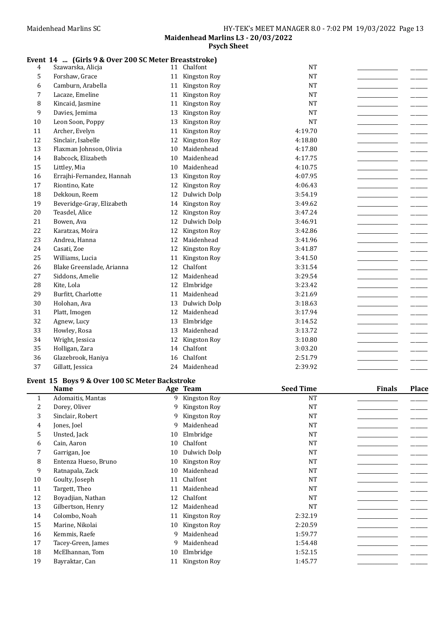## Event 14 ... (Girls 9 & Over 200 SC Meter Breaststroke)

| 4  | Szawarska, Alicja         | 11 | Chalfont      | <b>NT</b> |  |
|----|---------------------------|----|---------------|-----------|--|
| 5  | Forshaw, Grace            | 11 | Kingston Roy  | <b>NT</b> |  |
| 6  | Camburn, Arabella         | 11 | Kingston Roy  | <b>NT</b> |  |
| 7  | Lacaze, Emeline           | 11 | Kingston Roy  | <b>NT</b> |  |
| 8  | Kincaid, Jasmine          | 11 | Kingston Roy  | <b>NT</b> |  |
| 9  | Davies, Jemima            | 13 | Kingston Roy  | <b>NT</b> |  |
| 10 | Leon Soon, Poppy          | 13 | Kingston Roy  | <b>NT</b> |  |
| 11 | Archer, Evelyn            | 11 | Kingston Roy  | 4:19.70   |  |
| 12 | Sinclair, Isabelle        | 12 | Kingston Roy  | 4:18.80   |  |
| 13 | Flaxman Johnson, Olivia   | 10 | Maidenhead    | 4:17.80   |  |
| 14 | Babcock, Elizabeth        | 10 | Maidenhead    | 4:17.75   |  |
| 15 | Littley, Mia              | 10 | Maidenhead    | 4:10.75   |  |
| 16 | Errajhi-Fernandez, Hannah | 13 | Kingston Roy  | 4:07.95   |  |
| 17 | Riontino, Kate            | 12 | Kingston Roy  | 4:06.43   |  |
| 18 | Dekkoun, Reem             | 12 | Dulwich Dolp  | 3:54.19   |  |
| 19 | Beveridge-Gray, Elizabeth | 14 | Kingston Roy  | 3:49.62   |  |
| 20 | Teasdel, Alice            | 12 | Kingston Roy  | 3:47.24   |  |
| 21 | Bowen, Ava                | 12 | Dulwich Dolp  | 3:46.91   |  |
| 22 | Karatzas, Moira           | 12 | Kingston Roy  | 3:42.86   |  |
| 23 | Andrea, Hanna             | 12 | Maidenhead    | 3:41.96   |  |
| 24 | Casati, Zoe               | 12 | Kingston Roy  | 3:41.87   |  |
| 25 | Williams, Lucia           | 11 | Kingston Roy  | 3:41.50   |  |
| 26 | Blake Greenslade, Arianna | 12 | Chalfont      | 3:31.54   |  |
| 27 | Siddons, Amelie           | 12 | Maidenhead    | 3:29.54   |  |
| 28 | Kite, Lola                | 12 | Elmbridge     | 3:23.42   |  |
| 29 | Burfitt, Charlotte        | 11 | Maidenhead    | 3:21.69   |  |
| 30 | Holohan, Ava              | 13 | Dulwich Dolp  | 3:18.63   |  |
| 31 | Platt, Imogen             | 12 | Maidenhead    | 3:17.94   |  |
| 32 | Agnew, Lucy               | 13 | Elmbridge     | 3:14.52   |  |
| 33 | Howley, Rosa              | 13 | Maidenhead    | 3:13.72   |  |
| 34 | Wright, Jessica           | 12 | Kingston Roy  | 3:10.80   |  |
| 35 | Holligan, Zara            | 14 | Chalfont      | 3:03.20   |  |
| 36 | Glazebrook, Haniya        | 16 | Chalfont      | 2:51.79   |  |
| 37 | Gillatt, Jessica          |    | 24 Maidenhead | 2:39.92   |  |

# Event 15 Boys 9 & Over 100 SC Meter Backstroke

|              | <b>Name</b>          |    | Age Team     | <b>Seed Time</b> | <b>Finals</b> | <b>Place</b> |
|--------------|----------------------|----|--------------|------------------|---------------|--------------|
| $\mathbf{1}$ | Adomaitis, Mantas    | 9  | Kingston Roy | <b>NT</b>        |               |              |
| 2            | Dorey, Oliver        | 9  | Kingston Roy | NT               |               |              |
| 3            | Sinclair, Robert     | 9  | Kingston Roy | <b>NT</b>        |               |              |
| 4            | Jones, Joel          | 9  | Maidenhead   | <b>NT</b>        |               |              |
| 5            | Unsted, Jack         | 10 | Elmbridge    | NT               |               |              |
| 6            | Cain, Aaron          | 10 | Chalfont     | NT               |               |              |
| 7            | Garrigan, Joe        | 10 | Dulwich Dolp | NT               |               |              |
| 8            | Entenza Hueso, Bruno | 10 | Kingston Roy | NT               |               |              |
| 9            | Ratnapala, Zack      | 10 | Maidenhead   | NT               |               |              |
| 10           | Goulty, Joseph       | 11 | Chalfont     | <b>NT</b>        |               |              |
| 11           | Targett, Theo        | 11 | Maidenhead   | <b>NT</b>        |               |              |
| 12           | Boyadjian, Nathan    | 12 | Chalfont     | <b>NT</b>        |               |              |
| 13           | Gilbertson, Henry    | 12 | Maidenhead   | <b>NT</b>        |               |              |
| 14           | Colombo, Noah        | 11 | Kingston Roy | 2:32.19          |               |              |
| 15           | Marine, Nikolai      | 10 | Kingston Roy | 2:20.59          |               |              |
| 16           | Kemmis, Raefe        | 9  | Maidenhead   | 1:59.77          |               |              |
| 17           | Tacey-Green, James   | 9  | Maidenhead   | 1:54.48          |               |              |
| 18           | McElhannan, Tom      | 10 | Elmbridge    | 1:52.15          |               |              |
| 19           | Bayraktar, Can       | 11 | Kingston Roy | 1:45.77          |               |              |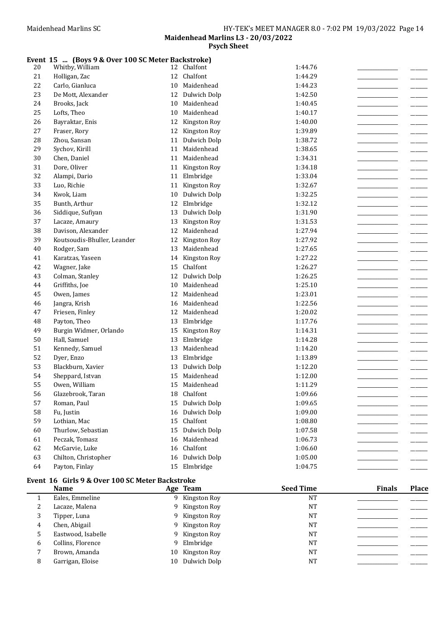#### Event 15 ... (Boys 9 & Over 100 SC Meter Backstroke)

| $20\,$   | Whitby, William                                 |    | 12 Chalfont     | 1:44.76 |
|----------|-------------------------------------------------|----|-----------------|---------|
| 21       | Holligan, Zac                                   | 12 | Chalfont        | 1:44.29 |
| 22       | Carlo, Gianluca                                 | 10 | Maidenhead      | 1:44.23 |
| 23       | De Mott, Alexander                              | 12 | Dulwich Dolp    | 1:42.50 |
| 24       | Brooks, Jack                                    | 10 | Maidenhead      | 1:40.45 |
| 25       | Lofts, Theo                                     | 10 | Maidenhead      | 1:40.17 |
| 26       | Bayraktar, Enis                                 | 12 | Kingston Roy    | 1:40.00 |
| 27       | Fraser, Rory                                    | 12 | Kingston Roy    | 1:39.89 |
| 28       | Zhou, Sansan                                    |    | 11 Dulwich Dolp | 1:38.72 |
| 29       | Sychov, Kirill                                  | 11 | Maidenhead      | 1:38.65 |
| 30       | Chen, Daniel                                    | 11 | Maidenhead      | 1:34.31 |
| 31       | Dore, Oliver                                    |    | 11 Kingston Roy | 1:34.18 |
| 32       | Alampi, Dario                                   | 11 | Elmbridge       | 1:33.04 |
| 33       | Luo, Richie                                     |    | 11 Kingston Roy | 1:32.67 |
| 34       | Kwok, Liam                                      | 10 | Dulwich Dolp    | 1:32.25 |
| 35       | Bunth, Arthur                                   | 12 | Elmbridge       | 1:32.12 |
| 36       | Siddique, Sufiyan                               | 13 | Dulwich Dolp    | 1:31.90 |
| 37       | Lacaze, Amaury                                  | 13 | Kingston Roy    | 1:31.53 |
| 38       | Davison, Alexander                              | 12 | Maidenhead      | 1:27.94 |
| 39       | Koutsoudis-Bhuller, Leander                     | 12 | Kingston Roy    | 1:27.92 |
| 40       | Rodger, Sam                                     | 13 | Maidenhead      | 1:27.65 |
| 41       | Karatzas, Yaseen                                | 14 | Kingston Roy    | 1:27.22 |
| 42       | Wagner, Jake                                    | 15 | Chalfont        | 1:26.27 |
| 43       | Colman, Stanley                                 | 12 | Dulwich Dolp    | 1:26.25 |
| $\bf 44$ | Griffiths, Joe                                  | 10 | Maidenhead      | 1:25.10 |
| 45       | Owen, James                                     | 12 | Maidenhead      | 1:23.01 |
| 46       | Jangra, Krish                                   | 16 | Maidenhead      | 1:22.56 |
| 47       | Friesen, Finley                                 | 12 | Maidenhead      | 1:20.02 |
| 48       | Payton, Theo                                    | 13 | Elmbridge       | 1:17.76 |
| 49       | Burgin Widmer, Orlando                          | 15 | Kingston Roy    | 1:14.31 |
| 50       | Hall, Samuel                                    | 13 | Elmbridge       | 1:14.28 |
| 51       | Kennedy, Samuel                                 | 13 | Maidenhead      | 1:14.20 |
| 52       | Dyer, Enzo                                      | 13 | Elmbridge       | 1:13.89 |
| 53       | Blackburn, Xavier                               | 13 | Dulwich Dolp    | 1:12.20 |
| 54       | Sheppard, Istvan                                | 15 | Maidenhead      | 1:12.00 |
| 55       | Owen, William                                   | 15 | Maidenhead      | 1:11.29 |
| 56       | Glazebrook, Taran                               | 18 | Chalfont        | 1:09.66 |
| 57       | Roman, Paul                                     |    | 15 Dulwich Dolp | 1:09.65 |
| 58       | Fu, Justin                                      |    | 16 Dulwich Dolp | 1:09.00 |
| 59       | Lothian, Mac                                    |    | 15 Chalfont     | 1:08.80 |
| 60       | Thurlow, Sebastian                              |    | 15 Dulwich Dolp | 1:07.58 |
| 61       | Peczak, Tomasz                                  | 16 | Maidenhead      | 1:06.73 |
| 62       | McGarvie, Luke                                  | 16 | Chalfont        | 1:06.60 |
| 63       | Chilton, Christopher                            |    | 16 Dulwich Dolp | 1:05.00 |
| 64       | Payton, Finlay                                  |    | 15 Elmbridge    | 1:04.75 |
|          | Event 16 Girls 9 & Over 100 SC Meter Backstroke |    |                 |         |

|        | <b>Name</b>        |    | Age Team       | <b>Seed Time</b> | <b>Finals</b> | <b>Place</b> |
|--------|--------------------|----|----------------|------------------|---------------|--------------|
|        | Eales, Emmeline    |    | 9 Kingston Roy | <b>NT</b>        |               |              |
| 2<br>∠ | Lacaze, Malena     |    | 9 Kingston Roy | <b>NT</b>        |               |              |
| 3      | Tipper, Luna       |    | 9 Kingston Roy | <b>NT</b>        |               |              |
| 4      | Chen, Abigail      |    | 9 Kingston Roy | <b>NT</b>        |               |              |
|        | Eastwood, Isabelle |    | 9 Kingston Roy | NT               |               |              |
| 6      | Collins, Florence  |    | 9 Elmbridge    | <b>NT</b>        |               |              |
|        | Brown, Amanda      | 10 | Kingston Roy   | <b>NT</b>        |               |              |
| 8      | Garrigan, Eloise   | 10 | Dulwich Dolp   | <b>NT</b>        |               |              |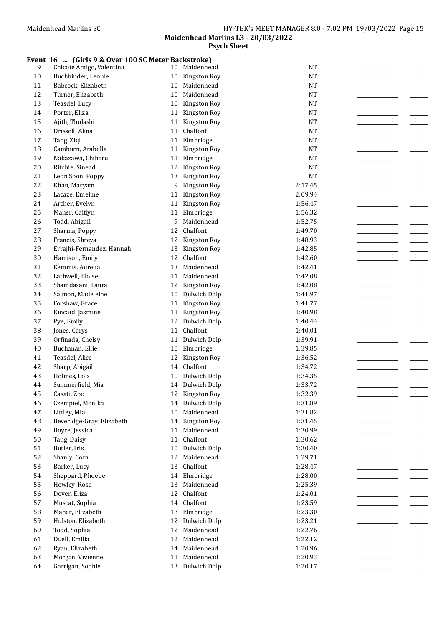#### Event 16 ... (Girls 9 & Over 100 SC Meter Backstroke)

| 9      | Chicote Amigo, Valentina  | 10 | Maidenhead      | $\rm{NT}$ |  |
|--------|---------------------------|----|-----------------|-----------|--|
| $10\,$ | Buchbinder, Leonie        | 10 | Kingston Roy    | <b>NT</b> |  |
| 11     | Babcock, Elizabeth        | 10 | Maidenhead      | $\rm{NT}$ |  |
| 12     | Turner, Elizabeth         | 10 | Maidenhead      | $\rm{NT}$ |  |
| 13     | Teasdel, Lucy             | 10 | Kingston Roy    | $\rm{NT}$ |  |
| 14     | Porter, Eliza             | 11 | Kingston Roy    | <b>NT</b> |  |
| 15     | Ajith, Thulashi           | 11 | Kingston Roy    | <b>NT</b> |  |
| 16     | Drissell, Alina           | 11 | Chalfont        | <b>NT</b> |  |
| 17     | Tang, Ziqi                | 11 | Elmbridge       | <b>NT</b> |  |
| 18     | Camburn, Arabella         |    | 11 Kingston Roy | <b>NT</b> |  |
| 19     | Nakazawa, Chiharu         |    | 11 Elmbridge    | <b>NT</b> |  |
| 20     | Ritchie, Sinead           | 12 | Kingston Roy    | $\rm{NT}$ |  |
| 21     | Leon Soon, Poppy          | 13 | Kingston Roy    | <b>NT</b> |  |
| 22     | Khan, Maryam              | 9  | Kingston Roy    | 2:17.45   |  |
| 23     | Lacaze, Emeline           | 11 | Kingston Roy    | 2:09.94   |  |
| 24     | Archer, Evelyn            | 11 | Kingston Roy    | 1:56.47   |  |
| 25     | Maher, Caitlyn            | 11 | Elmbridge       | 1:56.32   |  |
| 26     |                           | 9  | Maidenhead      | 1:52.75   |  |
|        | Todd, Abigail             |    | Chalfont        |           |  |
| 27     | Sharma, Poppy             | 12 |                 | 1:49.70   |  |
| 28     | Francis, Shreya           | 12 | Kingston Roy    | 1:48.93   |  |
| 29     | Errajhi-Fernandez, Hannah | 13 | Kingston Roy    | 1:42.85   |  |
| 30     | Harrison, Emily           | 12 | Chalfont        | 1:42.60   |  |
| 31     | Kemmis, Aurelia           | 13 | Maidenhead      | 1:42.41   |  |
| 32     | Lathwell, Eloise          | 11 | Maidenhead      | 1:42.08   |  |
| 33     | Shamdasani, Laura         | 12 | Kingston Roy    | 1:42.08   |  |
| 34     | Salmon, Madeleine         | 10 | Dulwich Dolp    | 1:41.97   |  |
| 35     | Forshaw, Grace            |    | 11 Kingston Roy | 1:41.77   |  |
| 36     | Kincaid, Jasmine          | 11 | Kingston Roy    | 1:40.98   |  |
| 37     | Pye, Emily                | 12 | Dulwich Dolp    | 1:40.44   |  |
| 38     | Jones, Carys              | 11 | Chalfont        | 1:40.01   |  |
| 39     | Orfinada, Chelsy          | 11 | Dulwich Dolp    | 1:39.91   |  |
| $40\,$ | Buchanan, Ellie           | 10 | Elmbridge       | 1:39.85   |  |
| $41\,$ | Teasdel, Alice            | 12 | Kingston Roy    | 1:36.52   |  |
| 42     | Sharp, Abigail            | 14 | Chalfont        | 1:34.72   |  |
| 43     | Holmes, Lois              | 10 | Dulwich Dolp    | 1:34.35   |  |
| 44     | Summerfield, Mia          | 14 | Dulwich Dolp    | 1:33.72   |  |
| 45     | Casati, Zoe               |    | 12 Kingston Roy | 1:32.39   |  |
| 46     | Czempiel, Monika          |    | 14 Dulwich Dolp | 1:31.89   |  |
| 47     | Littley, Mia              | 10 | Maidenhead      | 1:31.82   |  |
| 48     | Beveridge-Gray, Elizabeth |    | 14 Kingston Roy | 1:31.45   |  |
| 49     | Boyce, Jessica            |    | 11 Maidenhead   | 1:30.99   |  |
| 50     | Tang, Daisy               |    | 11 Chalfont     | 1:30.62   |  |
| 51     | Butler, Iris              | 10 | Dulwich Dolp    | 1:30.40   |  |
| 52     | Shanly, Cora              |    | 12 Maidenhead   | 1:29.71   |  |
| 53     | Barker, Lucy              | 13 | Chalfont        | 1:28.47   |  |
| 54     | Sheppard, Phoebe          |    | 14 Elmbridge    | 1:28.00   |  |
| 55     | Howley, Rosa              | 13 | Maidenhead      | 1:25.39   |  |
| 56     | Dover, Eliza              |    | 12 Chalfont     | 1:24.01   |  |
| 57     | Muscat, Sophia            |    | 14 Chalfont     | 1:23.59   |  |
| 58     | Maher, Elizabeth          | 13 | Elmbridge       | 1:23.30   |  |
| 59     | Hulston, Elizabeth        | 12 | Dulwich Dolp    | 1:23.21   |  |
| 60     | Todd, Sophia              | 12 | Maidenhead      | 1:22.76   |  |
| 61     | Duell, Emilia             | 12 | Maidenhead      | 1:22.12   |  |
| 62     | Ryan, Elizabeth           | 14 | Maidenhead      | 1:20.96   |  |
| 63     | Morgan, Vivienne          |    | 11 Maidenhead   | 1:20.93   |  |
| 64     | Garrigan, Sophie          |    | 13 Dulwich Dolp | 1:20.17   |  |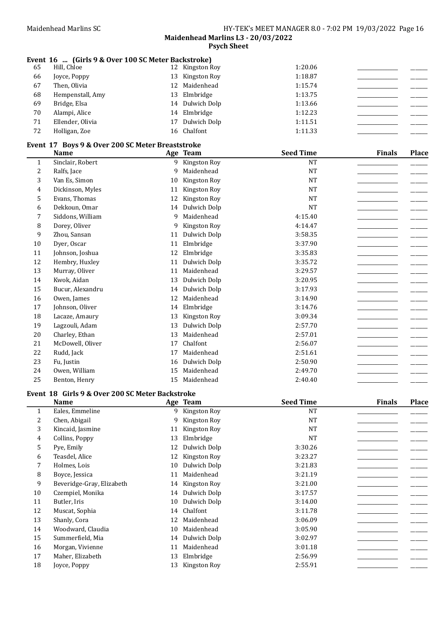## Event 16 ... (Girls 9 & Over 100 SC Meter Backstroke)

| 65 | Hill, Chloe      | 12 Kingston Roy | 1:20.06 |  |
|----|------------------|-----------------|---------|--|
| 66 | Joyce, Poppy     | 13 Kingston Roy | 1:18.87 |  |
| 67 | Then, Olivia     | 12 Maidenhead   | 1:15.74 |  |
| 68 | Hempenstall, Amy | 13 Elmbridge    | 1:13.75 |  |
| 69 | Bridge, Elsa     | 14 Dulwich Dolp | 1:13.66 |  |
| 70 | Alampi, Alice    | 14 Elmbridge    | 1:12.23 |  |
| 71 | Ellender, Olivia | 17 Dulwich Dolp | 1:11.51 |  |
| 72 | Holligan, Zoe    | 16 Chalfont     | 1:11.33 |  |
|    |                  |                 |         |  |

# Event 17 Boys 9 & Over 200 SC Meter Breaststroke

|              | <b>Name</b>      |    | Age Team     | <b>Seed Time</b> | <b>Finals</b> | <b>Place</b> |
|--------------|------------------|----|--------------|------------------|---------------|--------------|
| $\mathbf{1}$ | Sinclair, Robert | 9  | Kingston Roy | <b>NT</b>        |               |              |
| 2            | Ralfs, Jace      | 9  | Maidenhead   | <b>NT</b>        |               |              |
| 3            | Van Es, Simon    | 10 | Kingston Roy | <b>NT</b>        |               |              |
| 4            | Dickinson, Myles | 11 | Kingston Roy | <b>NT</b>        |               |              |
| 5            | Evans, Thomas    | 12 | Kingston Roy | <b>NT</b>        |               |              |
| 6            | Dekkoun, Omar    | 14 | Dulwich Dolp | <b>NT</b>        |               |              |
| 7            | Siddons, William | 9  | Maidenhead   | 4:15.40          |               |              |
| 8            | Dorey, Oliver    | 9  | Kingston Roy | 4:14.47          |               |              |
| 9            | Zhou, Sansan     | 11 | Dulwich Dolp | 3:58.35          |               |              |
| 10           | Dyer, Oscar      | 11 | Elmbridge    | 3:37.90          |               |              |
| 11           | Johnson, Joshua  | 12 | Elmbridge    | 3:35.83          |               |              |
| 12           | Hembry, Huxley   | 11 | Dulwich Dolp | 3:35.72          |               |              |
| 13           | Murray, Oliver   | 11 | Maidenhead   | 3:29.57          |               |              |
| 14           | Kwok, Aidan      | 13 | Dulwich Dolp | 3:20.95          |               |              |
| 15           | Bucur, Alexandru | 14 | Dulwich Dolp | 3:17.93          |               |              |
| 16           | Owen, James      | 12 | Maidenhead   | 3:14.90          |               |              |
| 17           | Johnson, Oliver  | 14 | Elmbridge    | 3:14.76          |               |              |
| 18           | Lacaze, Amaury   | 13 | Kingston Roy | 3:09.34          |               |              |
| 19           | Lagzouli, Adam   | 13 | Dulwich Dolp | 2:57.70          |               |              |
| 20           | Charley, Ethan   | 13 | Maidenhead   | 2:57.01          |               |              |
| 21           | McDowell, Oliver | 17 | Chalfont     | 2:56.07          |               |              |
| 22           | Rudd, Jack       | 17 | Maidenhead   | 2:51.61          |               |              |
| 23           | Fu, Justin       | 16 | Dulwich Dolp | 2:50.90          |               |              |
| 24           | Owen, William    | 15 | Maidenhead   | 2:49.70          |               |              |
| 25           | Benton, Henry    | 15 | Maidenhead   | 2:40.40          |               |              |

## Event 18 Girls 9 & Over 200 SC Meter Backstroke

|              | <b>Name</b>               |    | Age Team        | <b>Seed Time</b> | <b>Finals</b> | <b>Place</b> |
|--------------|---------------------------|----|-----------------|------------------|---------------|--------------|
| $\mathbf{1}$ | Eales, Emmeline           |    | 9 Kingston Roy  | <b>NT</b>        |               |              |
| 2            | Chen, Abigail             | 9  | Kingston Roy    | <b>NT</b>        |               |              |
| 3            | Kincaid, Jasmine          | 11 | Kingston Roy    | <b>NT</b>        |               |              |
| 4            | Collins, Poppy            | 13 | Elmbridge       | <b>NT</b>        |               |              |
| 5            | Pye, Emily                | 12 | Dulwich Dolp    | 3:30.26          |               |              |
| 6            | Teasdel, Alice            | 12 | Kingston Roy    | 3:23.27          |               |              |
| 7            | Holmes, Lois              | 10 | Dulwich Dolp    | 3:21.83          |               |              |
| 8            | Boyce, Jessica            | 11 | Maidenhead      | 3:21.19          |               |              |
| 9            | Beveridge-Gray, Elizabeth |    | 14 Kingston Roy | 3:21.00          |               |              |
| 10           | Czempiel, Monika          | 14 | Dulwich Dolp    | 3:17.57          |               |              |
| 11           | Butler, Iris              | 10 | Dulwich Dolp    | 3:14.00          |               |              |
| 12           | Muscat, Sophia            |    | 14 Chalfont     | 3:11.78          |               |              |
| 13           | Shanly, Cora              | 12 | Maidenhead      | 3:06.09          |               |              |
| 14           | Woodward, Claudia         | 10 | Maidenhead      | 3:05.90          |               |              |
| 15           | Summerfield, Mia          |    | 14 Dulwich Dolp | 3:02.97          |               |              |
| 16           | Morgan, Vivienne          | 11 | Maidenhead      | 3:01.18          |               |              |
| 17           | Maher, Elizabeth          | 13 | Elmbridge       | 2:56.99          |               |              |
| 18           | Joyce, Poppy              | 13 | Kingston Roy    | 2:55.91          |               |              |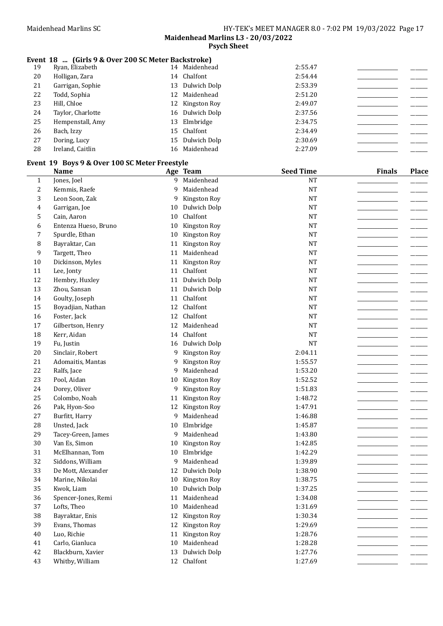## Event 18 ... (Girls 9 & Over 200 SC Meter Backstroke)

| 19 | Ryan, Elizabeth   | 14 | Maidenhead      | 2:55.47 |  |
|----|-------------------|----|-----------------|---------|--|
| 20 | Holligan, Zara    |    | 14 Chalfont     | 2:54.44 |  |
| 21 | Garrigan, Sophie  |    | 13 Dulwich Dolp | 2:53.39 |  |
| 22 | Todd, Sophia      |    | 12 Maidenhead   | 2:51.20 |  |
| 23 | Hill, Chloe       |    | 12 Kingston Roy | 2:49.07 |  |
| 24 | Taylor, Charlotte |    | 16 Dulwich Dolp | 2:37.56 |  |
| 25 | Hempenstall, Amy  |    | 13 Elmbridge    | 2:34.75 |  |
| 26 | Bach, Izzy        |    | 15 Chalfont     | 2:34.49 |  |
| 27 | Doring, Lucy      |    | 15 Dulwich Dolp | 2:30.69 |  |
| 28 | Ireland, Caitlin  | 16 | Maidenhead      | 2:27.09 |  |

#### Event 19 Boys 9 & Over 100 SC Meter Freestyle

|                | <b>Name</b>          |    | Age Team      | <b>Seed Time</b> | <b>Finals</b> | <b>Place</b> |
|----------------|----------------------|----|---------------|------------------|---------------|--------------|
| $\mathbf{1}$   | Jones, Joel          | 9  | Maidenhead    | <b>NT</b>        |               |              |
| $\mathbf{2}$   | Kemmis, Raefe        | 9  | Maidenhead    | <b>NT</b>        |               |              |
| 3              | Leon Soon, Zak       | 9  | Kingston Roy  | <b>NT</b>        |               |              |
| $\overline{4}$ | Garrigan, Joe        | 10 | Dulwich Dolp  | <b>NT</b>        |               |              |
| 5              | Cain, Aaron          | 10 | Chalfont      | <b>NT</b>        |               |              |
| 6              | Entenza Hueso, Bruno | 10 | Kingston Roy  | <b>NT</b>        |               |              |
| 7              | Spurdle, Ethan       | 10 | Kingston Roy  | <b>NT</b>        |               |              |
| 8              | Bayraktar, Can       | 11 | Kingston Roy  | <b>NT</b>        |               |              |
| 9              | Targett, Theo        | 11 | Maidenhead    | <b>NT</b>        |               |              |
| 10             | Dickinson, Myles     | 11 | Kingston Roy  | <b>NT</b>        |               |              |
| 11             | Lee, Jonty           | 11 | Chalfont      | <b>NT</b>        |               |              |
| 12             | Hembry, Huxley       | 11 | Dulwich Dolp  | <b>NT</b>        |               |              |
| 13             | Zhou, Sansan         | 11 | Dulwich Dolp  | <b>NT</b>        |               |              |
| 14             | Goulty, Joseph       | 11 | Chalfont      | <b>NT</b>        |               |              |
| 15             | Boyadjian, Nathan    | 12 | Chalfont      | <b>NT</b>        |               |              |
| 16             | Foster, Jack         | 12 | Chalfont      | <b>NT</b>        |               |              |
| 17             | Gilbertson, Henry    | 12 | Maidenhead    | <b>NT</b>        |               |              |
| 18             | Kerr, Aidan          | 14 | Chalfont      | <b>NT</b>        |               |              |
| 19             | Fu, Justin           | 16 | Dulwich Dolp  | <b>NT</b>        |               |              |
| 20             | Sinclair, Robert     | 9  | Kingston Roy  | 2:04.11          |               |              |
| 21             | Adomaitis, Mantas    | 9  | Kingston Roy  | 1:55.57          |               |              |
| 22             | Ralfs, Jace          | 9  | Maidenhead    | 1:53.20          |               |              |
| 23             | Pool, Aidan          | 10 | Kingston Roy  | 1:52.52          |               |              |
| 24             | Dorey, Oliver        | 9  | Kingston Roy  | 1:51.83          |               |              |
| 25             | Colombo, Noah        | 11 | Kingston Roy  | 1:48.72          |               |              |
| 26             | Pak, Hyon-Soo        | 12 | Kingston Roy  | 1:47.91          |               |              |
| 27             | Burfitt, Harry       | 9  | Maidenhead    | 1:46.88          |               |              |
| 28             | Unsted, Jack         | 10 | Elmbridge     | 1:45.87          |               |              |
| 29             | Tacey-Green, James   | 9  | Maidenhead    | 1:43.80          |               |              |
| 30             | Van Es, Simon        | 10 | Kingston Roy  | 1:42.85          |               |              |
| 31             | McElhannan, Tom      | 10 | Elmbridge     | 1:42.29          |               |              |
| 32             | Siddons, William     | 9  | Maidenhead    | 1:39.89          |               |              |
| 33             | De Mott, Alexander   | 12 | Dulwich Dolp  | 1:38.90          |               |              |
| 34             | Marine, Nikolai      | 10 | Kingston Roy  | 1:38.75          |               |              |
| 35             | Kwok, Liam           | 10 | Dulwich Dolp  | 1:37.25          |               |              |
| 36             | Spencer-Jones, Remi  | 11 | Maidenhead    | 1:34.08          |               |              |
| 37             | Lofts, Theo          |    | 10 Maidenhead | 1:31.69          |               |              |
| 38             | Bayraktar, Enis      | 12 | Kingston Roy  | 1:30.34          |               |              |
| 39             | Evans, Thomas        | 12 | Kingston Roy  | 1:29.69          |               |              |
| 40             | Luo, Richie          | 11 | Kingston Roy  | 1:28.76          |               |              |
| 41             | Carlo, Gianluca      | 10 | Maidenhead    | 1:28.28          |               |              |
| 42             | Blackburn, Xavier    | 13 | Dulwich Dolp  | 1:27.76          |               |              |
| 43             | Whitby, William      |    | 12 Chalfont   | 1:27.69          |               |              |
|                |                      |    |               |                  |               |              |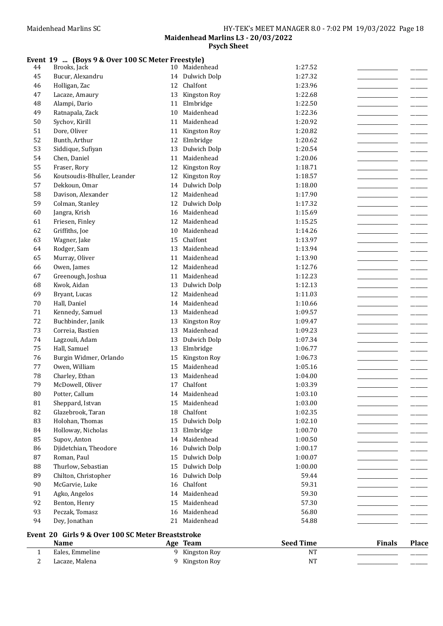#### Event 19 ... (Boys 9 & Over 100 SC Meter Freestyle)

| 2           | Lacaze, Malena                                    |    | 9 Kingston Roy  | NT               |               |              |
|-------------|---------------------------------------------------|----|-----------------|------------------|---------------|--------------|
| $\mathbf 1$ | Eales, Emmeline                                   | 9  | Kingston Roy    | <b>NT</b>        |               |              |
|             | <b>Name</b>                                       |    | Age Team        | <b>Seed Time</b> | <b>Finals</b> | <b>Place</b> |
|             | Event 20 Girls 9 & Over 100 SC Meter Breaststroke |    |                 |                  |               |              |
| 94          | Dey, Jonathan                                     |    | 21 Maidenhead   | 54.88            |               |              |
| 93          | Peczak, Tomasz                                    | 16 | Maidenhead      | 56.80            |               |              |
| 92          | Benton, Henry                                     | 15 | Maidenhead      | 57.30            |               |              |
| 91          | Agko, Angelos                                     | 14 | Maidenhead      | 59.30            |               |              |
| 90          | McGarvie, Luke                                    | 16 | Chalfont        | 59.31            |               |              |
| 89          | Chilton, Christopher                              | 16 | Dulwich Dolp    | 59.44            |               |              |
| 88          | Thurlow, Sebastian                                | 15 | Dulwich Dolp    | 1:00.00          |               |              |
| 87          | Roman, Paul                                       | 15 | Dulwich Dolp    | 1:00.07          |               |              |
| 86          | Djidetchian, Theodore                             | 16 | Dulwich Dolp    | 1:00.17          |               |              |
| 85          | Supov, Anton                                      | 14 | Maidenhead      | 1:00.50          |               |              |
| 84          | Holloway, Nicholas                                |    | 13 Elmbridge    | 1:00.70          |               |              |
| 83          | Holohan, Thomas                                   | 15 | Dulwich Dolp    | 1:02.10          |               |              |
| 82          | Glazebrook, Taran                                 | 18 | Chalfont        | 1:02.35          |               |              |
| 81          | Sheppard, Istvan                                  | 15 | Maidenhead      | 1:03.00          |               |              |
| ${\bf 80}$  | Potter, Callum                                    |    | 14 Maidenhead   | 1:03.10          |               |              |
| 79          | McDowell, Oliver                                  | 17 | Chalfont        | 1:03.39          |               |              |
| 78          | Charley, Ethan                                    | 13 | Maidenhead      | 1:04.00          |               |              |
| 77          | Owen, William                                     | 15 | Maidenhead      | 1:05.16          |               |              |
| 76          | Burgin Widmer, Orlando                            | 15 | Kingston Roy    | 1:06.73          |               |              |
| 75          | Hall, Samuel                                      | 13 | Elmbridge       | 1:06.77          |               |              |
| 74          | Lagzouli, Adam                                    | 13 | Dulwich Dolp    | 1:07.34          |               |              |
| 73          | Correia, Bastien                                  | 13 | Maidenhead      | 1:09.23          |               |              |
| 72          | Buchbinder, Janik                                 | 13 | Kingston Roy    | 1:09.47          |               |              |
| 71          | Kennedy, Samuel                                   | 13 | Maidenhead      | 1:09.57          |               |              |
| $70\,$      | Hall, Daniel                                      | 14 | Maidenhead      | 1:10.66          |               |              |
| 69          | Bryant, Lucas                                     | 12 | Maidenhead      | 1:11.03          |               |              |
| 68          | Kwok, Aidan                                       | 13 | Dulwich Dolp    | 1:12.13          |               |              |
| 67          | Greenough, Joshua                                 | 11 | Maidenhead      | 1:12.23          |               |              |
| 66          | Owen, James                                       | 12 | Maidenhead      | 1:12.76          |               |              |
| 65          | Murray, Oliver                                    | 11 | Maidenhead      | 1:13.90          |               |              |
| 64          | Rodger, Sam                                       | 13 | Maidenhead      | 1:13.94          |               |              |
| 63          | Wagner, Jake                                      | 15 | Chalfont        | 1:13.97          |               |              |
| 62          | Griffiths, Joe                                    | 10 | Maidenhead      | 1:14.26          |               |              |
| 61          | Friesen, Finley                                   | 12 | Maidenhead      | 1:15.25          |               |              |
| 60          | Jangra, Krish                                     | 16 | Maidenhead      | 1:15.69          |               |              |
| 59          | Colman, Stanley                                   |    | 12 Dulwich Dolp | 1:17.32          |               |              |
| 58          | Davison, Alexander                                |    | 12 Maidenhead   | 1:17.90          |               |              |
| 57          | Dekkoun, Omar                                     | 14 | Dulwich Dolp    | 1:18.00          |               |              |
| 56          | Koutsoudis-Bhuller, Leander                       | 12 | Kingston Roy    | 1:18.57          |               |              |
| 55          | Fraser, Rory                                      | 12 | Kingston Roy    | 1:18.71          |               |              |
| 54          | Chen, Daniel                                      | 11 | Maidenhead      | 1:20.06          |               |              |
| 53          | Siddique, Sufiyan                                 | 13 | Dulwich Dolp    | 1:20.54          |               |              |
| 52          | Bunth, Arthur                                     | 12 | Elmbridge       | 1:20.62          |               |              |
| 51          | Dore, Oliver                                      |    | 11 Kingston Roy | 1:20.82          |               |              |
| 50          | Sychov, Kirill                                    | 11 | Maidenhead      | 1:20.92          |               |              |
| 49          | Ratnapala, Zack                                   | 10 | Maidenhead      | 1:22.36          |               |              |
| 48          | Alampi, Dario                                     | 11 | Elmbridge       | 1:22.50          |               |              |
| 47          | Lacaze, Amaury                                    | 13 | Kingston Roy    | 1:22.68          |               |              |
| 46          | Holligan, Zac                                     | 12 | Chalfont        | 1:23.96          |               |              |
| 45          | Bucur, Alexandru                                  | 14 | Dulwich Dolp    | 1:27.32          |               |              |
| 44          | Brooks, Jack                                      | 10 | Maidenhead      | 1:27.52          |               |              |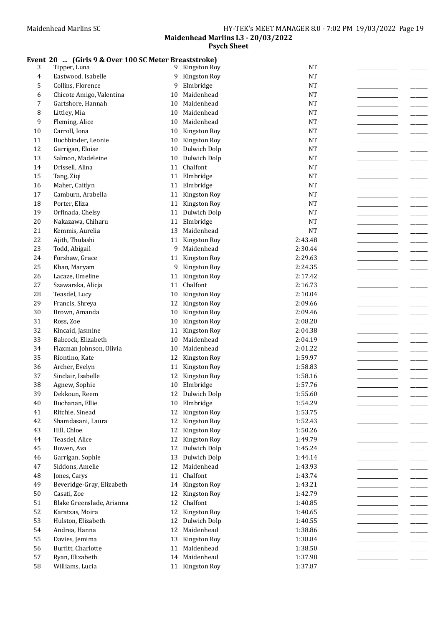## Event 20 ... (Girls 9 & Over 100 SC Meter Breaststroke)

| 3              | Tipper, Luna                          | 9        | Kingston Roy             | <b>NT</b>          |  |
|----------------|---------------------------------------|----------|--------------------------|--------------------|--|
| $\overline{4}$ | Eastwood, Isabelle                    | 9        | Kingston Roy             | <b>NT</b>          |  |
| 5              | Collins, Florence                     | 9        | Elmbridge                | <b>NT</b>          |  |
| 6              | Chicote Amigo, Valentina              | 10       | Maidenhead               | <b>NT</b>          |  |
| 7              | Gartshore, Hannah                     | 10       | Maidenhead               | <b>NT</b>          |  |
| 8              | Littley, Mia                          | 10       | Maidenhead               | <b>NT</b>          |  |
| 9              | Fleming, Alice                        | 10       | Maidenhead               | <b>NT</b>          |  |
| 10             | Carroll, Iona                         | 10       | Kingston Roy             | <b>NT</b>          |  |
| 11             | Buchbinder, Leonie                    | 10       | Kingston Roy             | <b>NT</b>          |  |
| 12             | Garrigan, Eloise                      | 10       | Dulwich Dolp             | <b>NT</b>          |  |
| 13             | Salmon, Madeleine                     | 10       | Dulwich Dolp             | <b>NT</b>          |  |
| 14             | Drissell, Alina                       | 11       | Chalfont                 | <b>NT</b>          |  |
| 15             | Tang, Ziqi                            | 11       | Elmbridge                | <b>NT</b>          |  |
| 16             | Maher, Caitlyn                        | 11       | Elmbridge                | <b>NT</b>          |  |
| 17             | Camburn, Arabella                     | 11       | Kingston Roy             | <b>NT</b>          |  |
| 18             | Porter, Eliza                         | 11       | Kingston Roy             | <b>NT</b>          |  |
| 19             | Orfinada, Chelsy                      | 11       | Dulwich Dolp             | <b>NT</b>          |  |
| 20             | Nakazawa, Chiharu                     | 11       | Elmbridge                | <b>NT</b>          |  |
| 21             | Kemmis, Aurelia                       | 13       | Maidenhead               | <b>NT</b>          |  |
| 22             |                                       | 11       | Kingston Roy             | 2:43.48            |  |
| 23             | Ajith, Thulashi                       | 9        | Maidenhead               | 2:30.44            |  |
| 24             | Todd, Abigail                         |          |                          | 2:29.63            |  |
|                | Forshaw, Grace                        |          | 11 Kingston Roy          | 2:24.35            |  |
| 25             | Khan, Maryam                          | 9        | Kingston Roy             |                    |  |
| 26             | Lacaze, Emeline                       | 11       | Kingston Roy             | 2:17.42            |  |
| $27\,$         | Szawarska, Alicja                     | 11       | Chalfont                 | 2:16.73            |  |
| 28             | Teasdel, Lucy                         | 10       | Kingston Roy             | 2:10.04            |  |
| 29             | Francis, Shreya                       | 12       | Kingston Roy             | 2:09.66            |  |
| 30<br>31       | Brown, Amanda                         | 10       | Kingston Roy             | 2:09.46            |  |
|                | Ross, Zoe                             | 10       | Kingston Roy             | 2:08.20            |  |
| 32<br>33       | Kincaid, Jasmine                      | 11       | Kingston Roy             | 2:04.38            |  |
|                | Babcock, Elizabeth                    | 10       | Maidenhead               | 2:04.19            |  |
| 34             | Flaxman Johnson, Olivia               | 10       | Maidenhead               | 2:01.22            |  |
| 35<br>36       | Riontino, Kate                        | 12       | Kingston Roy             | 1:59.97            |  |
|                | Archer, Evelyn                        | 11       | Kingston Roy             | 1:58.83            |  |
| 37             | Sinclair, Isabelle                    | 12       | Kingston Roy             | 1:58.16            |  |
| 38             | Agnew, Sophie                         | 10       | Elmbridge                | 1:57.76            |  |
| 39             | Dekkoun, Reem                         | 12       | Dulwich Dolp             | 1:55.60            |  |
| 40             | Buchanan, Ellie                       | 10       | Elmbridge                | 1:54.29            |  |
| 41             | Ritchie, Sinead                       | 12       | Kingston Roy             | 1:53.75            |  |
| 42             | Shamdasani, Laura                     | 12       | Kingston Roy             | 1:52.43            |  |
| 43             | Hill, Chloe                           | 12       | Kingston Roy             | 1:50.26            |  |
| 44             | Teasdel, Alice                        | 12       | Kingston Roy             | 1:49.79            |  |
| 45             | Bowen, Ava                            |          | 12 Dulwich Dolp          | 1:45.24            |  |
| 46             | Garrigan, Sophie                      | 13       | Dulwich Dolp             | 1:44.14            |  |
| 47             | Siddons, Amelie                       |          | 12 Maidenhead            | 1:43.93            |  |
| 48             | Jones, Carys                          | 11       | Chalfont                 | 1:43.74            |  |
| 49             | Beveridge-Gray, Elizabeth             |          | 14 Kingston Roy          | 1:43.21            |  |
| 50<br>51       | Casati, Zoe                           | 12<br>12 | Kingston Roy<br>Chalfont | 1:42.79<br>1:40.85 |  |
| 52             | Blake Greenslade, Arianna             | 12       | Kingston Roy             | 1:40.65            |  |
| 53             | Karatzas, Moira<br>Hulston, Elizabeth | 12       | Dulwich Dolp             | 1:40.55            |  |
| 54             | Andrea, Hanna                         | 12       | Maidenhead               | 1:38.86            |  |
| 55             | Davies, Jemima                        | 13       | Kingston Roy             | 1:38.84            |  |
| 56             | Burfitt, Charlotte                    |          | 11 Maidenhead            | 1:38.50            |  |
| 57             | Ryan, Elizabeth                       | 14       | Maidenhead               | 1:37.98            |  |
| 58             | Williams, Lucia                       |          | 11 Kingston Roy          | 1:37.87            |  |
|                |                                       |          |                          |                    |  |